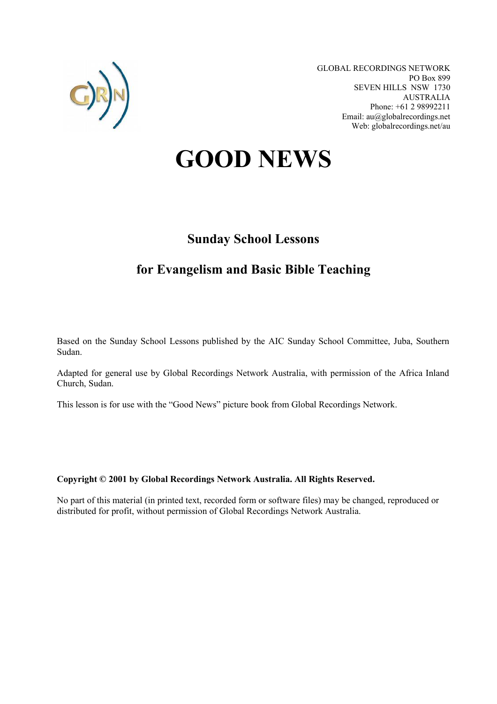

GLOBAL RECORDINGS NETWORK PO Box 899 SEVEN HILLS NSW 1730 AUSTRALIA Phone: +61 2 98992211 Email: au@globalrecordings.net Web: globalrecordings.net/au

# **GOOD NEWS**

# **Sunday School Lessons**

# **for Evangelism and Basic Bible Teaching**

Based on the Sunday School Lessons published by the AIC Sunday School Committee, Juba, Southern Sudan.

Adapted for general use by Global Recordings Network Australia, with permission of the Africa Inland Church, Sudan.

This lesson is for use with the "Good News" picture book from Global Recordings Network.

# **Copyright © 2001 by Global Recordings Network Australia. All Rights Reserved.**

No part of this material (in printed text, recorded form or software files) may be changed, reproduced or distributed for profit, without permission of Global Recordings Network Australia.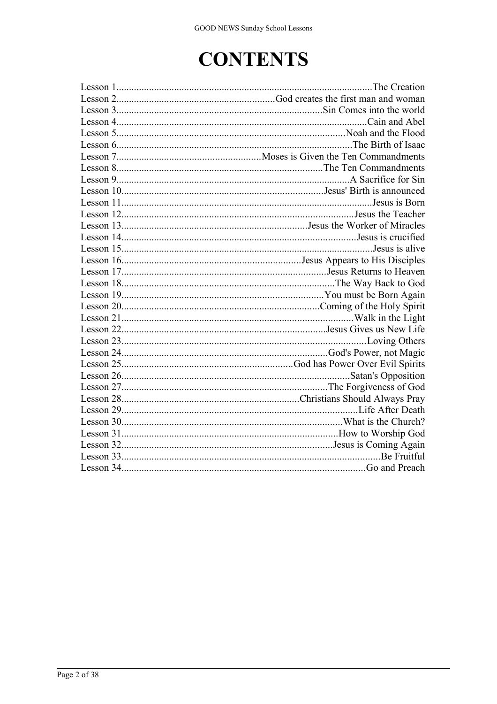# **CONTENTS**

| Lesson 12. The Teacher                                                      |
|-----------------------------------------------------------------------------|
| Lesson 13. The Worker of Miracles                                           |
|                                                                             |
|                                                                             |
| Lesson 16. The Disciples of the Disciples of the Disciples of the Disciples |
|                                                                             |
|                                                                             |
|                                                                             |
|                                                                             |
|                                                                             |
|                                                                             |
|                                                                             |
|                                                                             |
|                                                                             |
|                                                                             |
|                                                                             |
|                                                                             |
|                                                                             |
|                                                                             |
|                                                                             |
|                                                                             |
|                                                                             |
|                                                                             |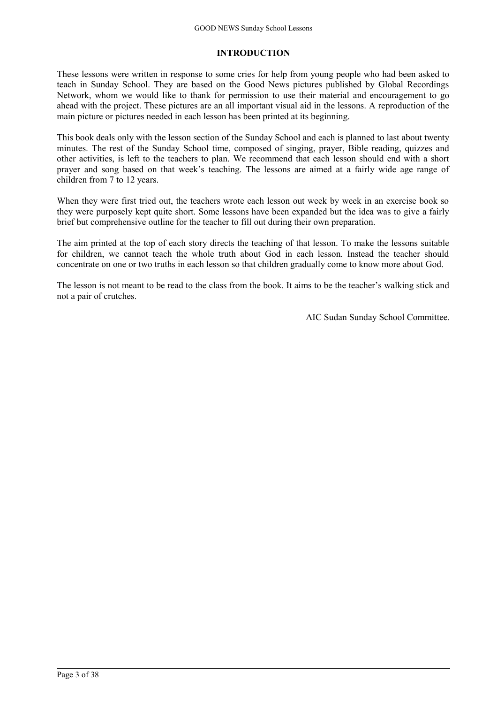# **INTRODUCTION**

These lessons were written in response to some cries for help from young people who had been asked to teach in Sunday School. They are based on the Good News pictures published by Global Recordings Network, whom we would like to thank for permission to use their material and encouragement to go ahead with the project. These pictures are an all important visual aid in the lessons. A reproduction of the main picture or pictures needed in each lesson has been printed at its beginning.

This book deals only with the lesson section of the Sunday School and each is planned to last about twenty minutes. The rest of the Sunday School time, composed of singing, prayer, Bible reading, quizzes and other activities, is left to the teachers to plan. We recommend that each lesson should end with a short prayer and song based on that week's teaching. The lessons are aimed at a fairly wide age range of children from 7 to 12 years.

When they were first tried out, the teachers wrote each lesson out week by week in an exercise book so they were purposely kept quite short. Some lessons have been expanded but the idea was to give a fairly brief but comprehensive outline for the teacher to fill out during their own preparation.

The aim printed at the top of each story directs the teaching of that lesson. To make the lessons suitable for children, we cannot teach the whole truth about God in each lesson. Instead the teacher should concentrate on one or two truths in each lesson so that children gradually come to know more about God.

The lesson is not meant to be read to the class from the book. It aims to be the teacher's walking stick and not a pair of crutches.

AIC Sudan Sunday School Committee.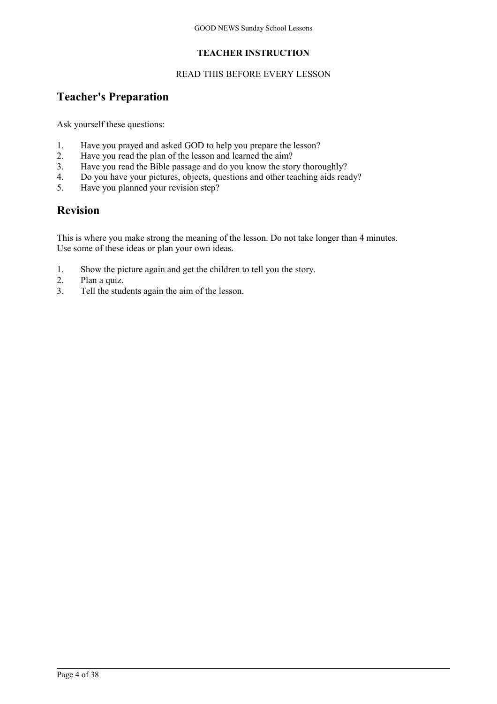# **TEACHER INSTRUCTION**

# READ THIS BEFORE EVERY LESSON

# **Teacher's Preparation**

Ask yourself these questions:

- 1. Have you prayed and asked GOD to help you prepare the lesson?
- 2. Have you read the plan of the lesson and learned the aim?
- 3. Have you read the Bible passage and do you know the story thoroughly?
- 4. Do you have your pictures, objects, questions and other teaching aids ready?
- 5. Have you planned your revision step?

# **Revision**

This is where you make strong the meaning of the lesson. Do not take longer than 4 minutes. Use some of these ideas or plan your own ideas.

- 1. Show the picture again and get the children to tell you the story.
- 2. Plan a quiz.
- 3. Tell the students again the aim of the lesson.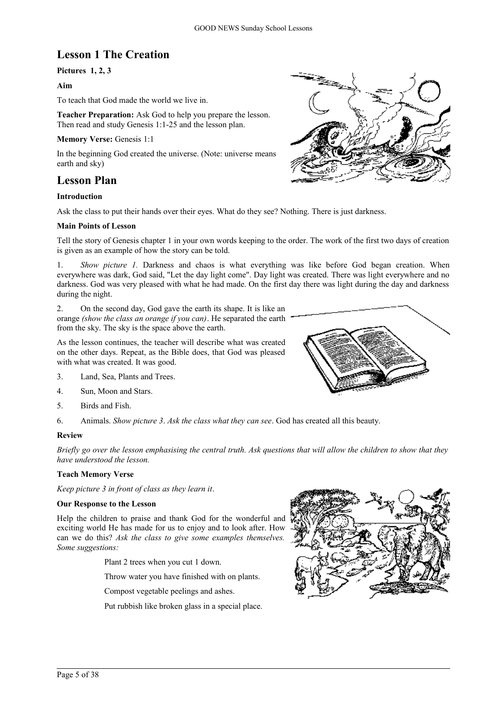# **Lesson 1 The Creation**

# **Pictures 1, 2, 3**

# **Aim**

To teach that God made the world we live in.

**Teacher Preparation:** Ask God to help you prepare the lesson. Then read and study Genesis 1:1-25 and the lesson plan.

### **Memory Verse:** Genesis 1:1

In the beginning God created the universe. (Note: universe means earth and sky)

# **Lesson Plan**

# **Introduction**

Ask the class to put their hands over their eyes. What do they see? Nothing. There is just darkness.

### **Main Points of Lesson**

Tell the story of Genesis chapter 1 in your own words keeping to the order. The work of the first two days of creation is given as an example of how the story can be told.

1. *Show picture 1.* Darkness and chaos is what everything was like before God began creation. When everywhere was dark, God said, "Let the day light come". Day light was created. There was light everywhere and no darkness. God was very pleased with what he had made. On the first day there was light during the day and darkness during the night.

2. On the second day, God gave the earth its shape. It is like an orange *(show the class an orange if you can)*. He separated the earth from the sky. The sky is the space above the earth.

As the lesson continues, the teacher will describe what was created on the other days. Repeat, as the Bible does, that God was pleased with what was created. It was good.

- 3. Land, Sea, Plants and Trees.
- 4. Sun, Moon and Stars.
- 5. Birds and Fish.
- 6. Animals. *Show picture 3*. *Ask the class what they can see*. God has created all this beauty.

### **Review**

*Briefly go over the lesson emphasising the central truth. Ask questions that will allow the children to show that they have understood the lesson.*

### **Teach Memory Verse**

*Keep picture 3 in front of class as they learn it*.

### **Our Response to the Lesson**

Help the children to praise and thank God for the wonderful and exciting world He has made for us to enjoy and to look after. How can we do this? *Ask the class to give some examples themselves. Some suggestions:*

Plant 2 trees when you cut 1 down.

Throw water you have finished with on plants.

Compost vegetable peelings and ashes.

Put rubbish like broken glass in a special place.





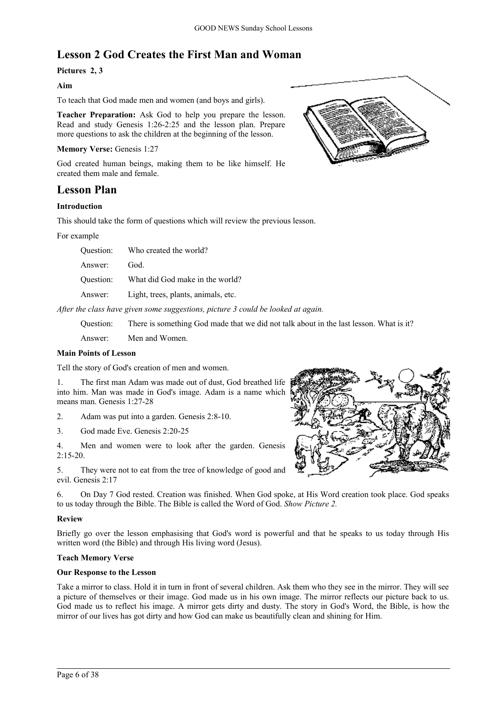# **Lesson 2 God Creates the First Man and Woman**

# **Pictures 2, 3**

# **Aim**

To teach that God made men and women (and boys and girls).

**Teacher Preparation:** Ask God to help you prepare the lesson. Read and study Genesis 1:26-2:25 and the lesson plan. Prepare more questions to ask the children at the beginning of the lesson.

### **Memory Verse:** Genesis 1:27

God created human beings, making them to be like himself. He created them male and female.

# **Lesson Plan**

# **Introduction**

This should take the form of questions which will review the previous lesson.

For example

| Ouestion: | Who created the world?              |
|-----------|-------------------------------------|
| Answer:   | God.                                |
| Ouestion: | What did God make in the world?     |
| Answer:   | Light, trees, plants, animals, etc. |

*After the class have given some suggestions, picture 3 could be looked at again.*

Question: There is something God made that we did not talk about in the last lesson. What is it?

Answer: Men and Women.

# **Main Points of Lesson**

Tell the story of God's creation of men and women.

1. The first man Adam was made out of dust, God breathed life into him. Man was made in God's image. Adam is a name which means man. Genesis 1:27-28

2. Adam was put into a garden. Genesis 2:8-10.

3. God made Eve. Genesis 2:20-25

4. Men and women were to look after the garden. Genesis  $2:15-20.$ 

5. They were not to eat from the tree of knowledge of good and evil. Genesis 2:17

6. On Day 7 God rested. Creation was finished. When God spoke, at His Word creation took place. God speaks to us today through the Bible. The Bible is called the Word of God. *Show Picture 2.*

# **Review**

Briefly go over the lesson emphasising that God's word is powerful and that he speaks to us today through His written word (the Bible) and through His living word (Jesus).

# **Teach Memory Verse**

### **Our Response to the Lesson**

Take a mirror to class. Hold it in turn in front of several children. Ask them who they see in the mirror. They will see a picture of themselves or their image. God made us in his own image. The mirror reflects our picture back to us. God made us to reflect his image. A mirror gets dirty and dusty. The story in God's Word, the Bible, is how the mirror of our lives has got dirty and how God can make us beautifully clean and shining for Him.



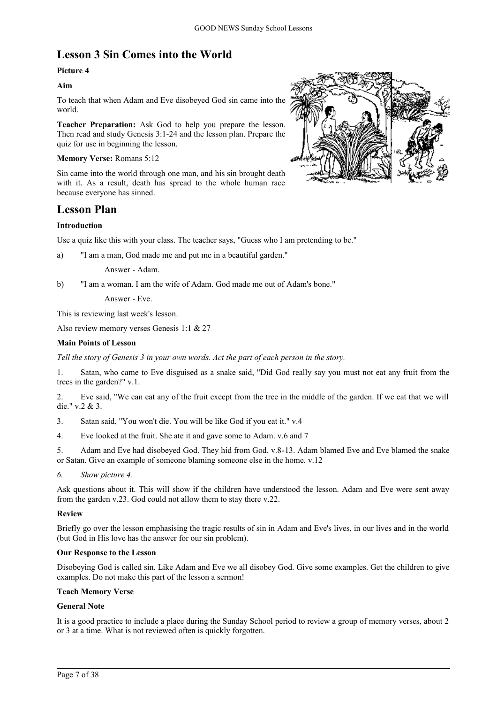# **Lesson 3 Sin Comes into the World**

# **Picture 4**

# **Aim**

To teach that when Adam and Eve disobeyed God sin came into the world.

**Teacher Preparation:** Ask God to help you prepare the lesson. Then read and study Genesis 3:1-24 and the lesson plan. Prepare the quiz for use in beginning the lesson.

**Memory Verse:** Romans 5:12

Sin came into the world through one man, and his sin brought death with it. As a result, death has spread to the whole human race because everyone has sinned.

# **Lesson Plan**

# **Introduction**

Use a quiz like this with your class. The teacher says, "Guess who I am pretending to be."

a) "I am a man, God made me and put me in a beautiful garden."

Answer - Adam.

b) "I am a woman. I am the wife of Adam. God made me out of Adam's bone."

Answer - Eve.

This is reviewing last week's lesson.

Also review memory verses Genesis 1:1 & 27

### **Main Points of Lesson**

*Tell the story of Genesis 3 in your own words. Act the part of each person in the story.*

1. Satan, who came to Eve disguised as a snake said, "Did God really say you must not eat any fruit from the trees in the garden?" v.1.

2. Eve said, "We can eat any of the fruit except from the tree in the middle of the garden. If we eat that we will die." v.2 & 3.

- 3. Satan said, "You won't die. You will be like God if you eat it." v.4
- 4. Eve looked at the fruit. She ate it and gave some to Adam. v.6 and 7
- 5. Adam and Eve had disobeyed God. They hid from God. v.8-13. Adam blamed Eve and Eve blamed the snake or Satan. Give an example of someone blaming someone else in the home. v.12
- *6. Show picture 4.*

Ask questions about it. This will show if the children have understood the lesson. Adam and Eve were sent away from the garden v.23. God could not allow them to stay there v.22.

# **Review**

Briefly go over the lesson emphasising the tragic results of sin in Adam and Eve's lives, in our lives and in the world (but God in His love has the answer for our sin problem).

### **Our Response to the Lesson**

Disobeying God is called sin. Like Adam and Eve we all disobey God. Give some examples. Get the children to give examples. Do not make this part of the lesson a sermon!

# **Teach Memory Verse**

### **General Note**

It is a good practice to include a place during the Sunday School period to review a group of memory verses, about 2 or 3 at a time. What is not reviewed often is quickly forgotten.

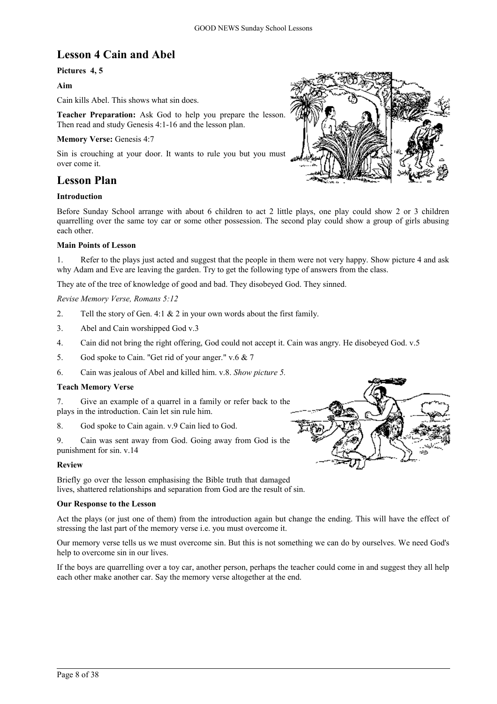# **Lesson 4 Cain and Abel**

# **Pictures 4, 5**

# **Aim**

Cain kills Abel. This shows what sin does.

**Teacher Preparation:** Ask God to help you prepare the lesson. Then read and study Genesis 4:1-16 and the lesson plan.

# **Memory Verse: Genesis 4:7**

Sin is crouching at your door. It wants to rule you but you must over come it.

# **Lesson Plan**

### **Introduction**

Before Sunday School arrange with about 6 children to act 2 little plays, one play could show 2 or 3 children quarrelling over the same toy car or some other possession. The second play could show a group of girls abusing each other.

### **Main Points of Lesson**

1. Refer to the plays just acted and suggest that the people in them were not very happy. Show picture 4 and ask why Adam and Eve are leaving the garden. Try to get the following type of answers from the class.

They ate of the tree of knowledge of good and bad. They disobeyed God. They sinned.

### *Revise Memory Verse, Romans 5:12*

- 2. Tell the story of Gen. 4:1 & 2 in your own words about the first family.
- 3. Abel and Cain worshipped God v.3
- 4. Cain did not bring the right offering, God could not accept it. Cain was angry. He disobeyed God. v.5
- 5. God spoke to Cain. "Get rid of your anger." v.6 & 7
- 6. Cain was jealous of Abel and killed him. v.8. *Show picture 5.*

### **Teach Memory Verse**

7. Give an example of a quarrel in a family or refer back to the plays in the introduction. Cain let sin rule him.

8. God spoke to Cain again. v.9 Cain lied to God.

9. Cain was sent away from God. Going away from God is the punishment for sin. v.14

### **Review**

Briefly go over the lesson emphasising the Bible truth that damaged lives, shattered relationships and separation from God are the result of sin.

### **Our Response to the Lesson**

Act the plays (or just one of them) from the introduction again but change the ending. This will have the effect of stressing the last part of the memory verse i.e. you must overcome it.

Our memory verse tells us we must overcome sin. But this is not something we can do by ourselves. We need God's help to overcome sin in our lives.

If the boys are quarrelling over a toy car, another person, perhaps the teacher could come in and suggest they all help each other make another car. Say the memory verse altogether at the end.



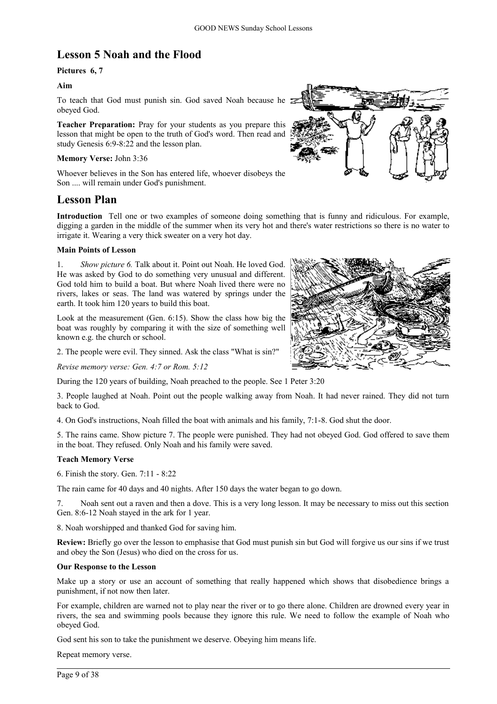# **Lesson 5 Noah and the Flood**

# **Pictures 6, 7**

### **Aim**

To teach that God must punish sin. God saved Noah because he obeyed God.

**Teacher Preparation:** Pray for your students as you prepare this lesson that might be open to the truth of God's word. Then read and study Genesis 6:9-8:22 and the lesson plan.

### **Memory Verse:** John 3:36

Whoever believes in the Son has entered life, whoever disobeys the Son .... will remain under God's punishment.

# **Lesson Plan**

**Introduction** Tell one or two examples of someone doing something that is funny and ridiculous. For example, digging a garden in the middle of the summer when its very hot and there's water restrictions so there is no water to irrigate it. Wearing a very thick sweater on a very hot day.

### **Main Points of Lesson**

1. *Show picture 6.* Talk about it. Point out Noah. He loved God. He was asked by God to do something very unusual and different. God told him to build a boat. But where Noah lived there were no rivers, lakes or seas. The land was watered by springs under the earth. It took him 120 years to build this boat.

Look at the measurement (Gen. 6:15). Show the class how big the boat was roughly by comparing it with the size of something well known e.g. the church or school.

2. The people were evil. They sinned. Ask the class "What is sin?"

*Revise memory verse: Gen. 4:7 or Rom. 5:12*

During the 120 years of building, Noah preached to the people. See 1 Peter 3:20

3. People laughed at Noah. Point out the people walking away from Noah. It had never rained. They did not turn back to God.

4. On God's instructions, Noah filled the boat with animals and his family, 7:1-8. God shut the door.

5. The rains came. Show picture 7. The people were punished. They had not obeyed God. God offered to save them in the boat. They refused. Only Noah and his family were saved.

### **Teach Memory Verse**

6. Finish the story. Gen. 7:11 - 8:22

The rain came for 40 days and 40 nights. After 150 days the water began to go down.

7. Noah sent out a raven and then a dove. This is a very long lesson. It may be necessary to miss out this section Gen. 8:6-12 Noah stayed in the ark for 1 year.

8. Noah worshipped and thanked God for saving him.

**Review:** Briefly go over the lesson to emphasise that God must punish sin but God will forgive us our sins if we trust and obey the Son (Jesus) who died on the cross for us.

### **Our Response to the Lesson**

Make up a story or use an account of something that really happened which shows that disobedience brings a punishment, if not now then later.

For example, children are warned not to play near the river or to go there alone. Children are drowned every year in rivers, the sea and swimming pools because they ignore this rule. We need to follow the example of Noah who obeyed God.

God sent his son to take the punishment we deserve. Obeying him means life.

Repeat memory verse.



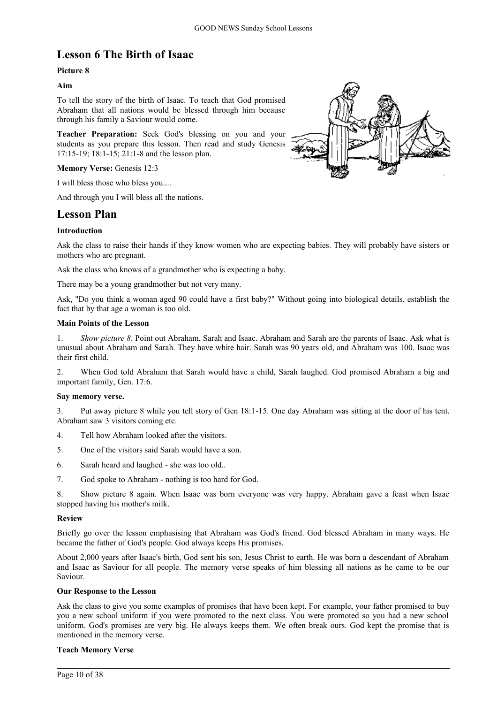# **Lesson 6 The Birth of Isaac**

# **Picture 8**

# **Aim**

To tell the story of the birth of Isaac. To teach that God promised Abraham that all nations would be blessed through him because through his family a Saviour would come.

**Teacher Preparation:** Seek God's blessing on you and your students as you prepare this lesson. Then read and study Genesis 17:15-19; 18:1-15; 21:1-8 and the lesson plan.

### **Memory Verse: Genesis 12:3**

I will bless those who bless you....

And through you I will bless all the nations.

# **Lesson Plan**

# **Introduction**

Ask the class to raise their hands if they know women who are expecting babies. They will probably have sisters or mothers who are pregnant.

Ask the class who knows of a grandmother who is expecting a baby.

There may be a young grandmother but not very many.

Ask, "Do you think a woman aged 90 could have a first baby?" Without going into biological details, establish the fact that by that age a woman is too old.

### **Main Points of the Lesson**

1. *Show picture 8*. Point out Abraham, Sarah and Isaac. Abraham and Sarah are the parents of Isaac. Ask what is unusual about Abraham and Sarah. They have white hair. Sarah was 90 years old, and Abraham was 100. Isaac was their first child.

2. When God told Abraham that Sarah would have a child, Sarah laughed. God promised Abraham a big and important family, Gen. 17:6.

# **Say memory verse.**

3. Put away picture 8 while you tell story of Gen 18:1-15. One day Abraham was sitting at the door of his tent. Abraham saw 3 visitors coming etc.

- 4. Tell how Abraham looked after the visitors.
- 5. One of the visitors said Sarah would have a son.
- 6. Sarah heard and laughed she was too old..
- 7. God spoke to Abraham nothing is too hard for God.

8. Show picture 8 again. When Isaac was born everyone was very happy. Abraham gave a feast when Isaac stopped having his mother's milk.

### **Review**

Briefly go over the lesson emphasising that Abraham was God's friend. God blessed Abraham in many ways. He became the father of God's people. God always keeps His promises.

About 2,000 years after Isaac's birth, God sent his son, Jesus Christ to earth. He was born a descendant of Abraham and Isaac as Saviour for all people. The memory verse speaks of him blessing all nations as he came to be our Saviour.

### **Our Response to the Lesson**

Ask the class to give you some examples of promises that have been kept. For example, your father promised to buy you a new school uniform if you were promoted to the next class. You were promoted so you had a new school uniform. God's promises are very big. He always keeps them. We often break ours. God kept the promise that is mentioned in the memory verse.

### **Teach Memory Verse**

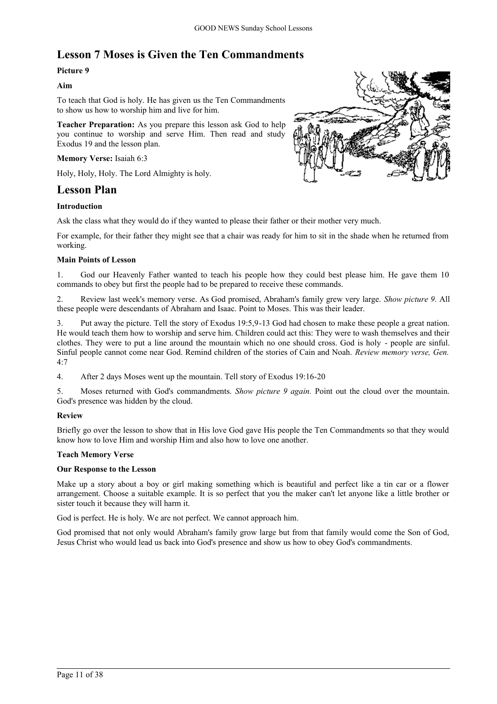# **Lesson 7 Moses is Given the Ten Commandments**

# **Picture 9**

### **Aim**

To teach that God is holy. He has given us the Ten Commandments to show us how to worship him and live for him.

**Teacher Preparation:** As you prepare this lesson ask God to help you continue to worship and serve Him. Then read and study Exodus 19 and the lesson plan.

### **Memory Verse:** Isaiah 6:3

Holy, Holy, Holy. The Lord Almighty is holy.

# **Lesson Plan**

### **Introduction**

Ask the class what they would do if they wanted to please their father or their mother very much.

For example, for their father they might see that a chair was ready for him to sit in the shade when he returned from working.

### **Main Points of Lesson**

1. God our Heavenly Father wanted to teach his people how they could best please him. He gave them 10 commands to obey but first the people had to be prepared to receive these commands.

2. Review last week's memory verse. As God promised, Abraham's family grew very large. *Show picture 9.* All these people were descendants of Abraham and Isaac. Point to Moses. This was their leader.

3. Put away the picture. Tell the story of Exodus 19:5,9-13 God had chosen to make these people a great nation. He would teach them how to worship and serve him. Children could act this: They were to wash themselves and their clothes. They were to put a line around the mountain which no one should cross. God is holy - people are sinful. Sinful people cannot come near God. Remind children of the stories of Cain and Noah. *Review memory verse, Gen.* 4:7

4. After 2 days Moses went up the mountain. Tell story of Exodus 19:16-20

5. Moses returned with God's commandments. *Show picture 9 again.* Point out the cloud over the mountain. God's presence was hidden by the cloud.

# **Review**

Briefly go over the lesson to show that in His love God gave His people the Ten Commandments so that they would know how to love Him and worship Him and also how to love one another.

### **Teach Memory Verse**

### **Our Response to the Lesson**

Make up a story about a boy or girl making something which is beautiful and perfect like a tin car or a flower arrangement. Choose a suitable example. It is so perfect that you the maker can't let anyone like a little brother or sister touch it because they will harm it.

God is perfect. He is holy. We are not perfect. We cannot approach him.

God promised that not only would Abraham's family grow large but from that family would come the Son of God, Jesus Christ who would lead us back into God's presence and show us how to obey God's commandments.

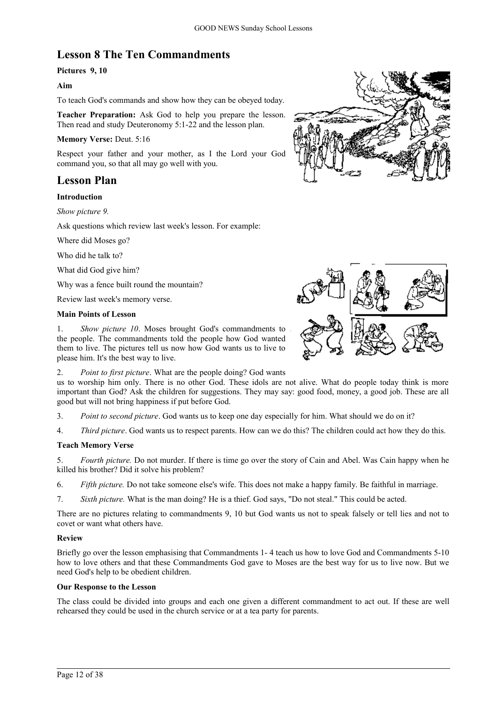# **Lesson 8 The Ten Commandments**

# **Pictures 9, 10**

# **Aim**

To teach God's commands and show how they can be obeyed today.

**Teacher Preparation:** Ask God to help you prepare the lesson. Then read and study Deuteronomy 5:1-22 and the lesson plan.

### **Memory Verse:** Deut. 5:16

Respect your father and your mother, as I the Lord your God command you, so that all may go well with you.

# **Lesson Plan**

# **Introduction**

*Show picture 9.*

Ask questions which review last week's lesson. For example:

Where did Moses go?

Who did he talk to?

What did God give him?

Why was a fence built round the mountain?

Review last week's memory verse.

### **Main Points of Lesson**

1. *Show picture 10*. Moses brought God's commandments to the people. The commandments told the people how God wanted them to live. The pictures tell us now how God wants us to live to please him. It's the best way to live.

2. *Point to first picture*. What are the people doing? God wants

us to worship him only. There is no other God. These idols are not alive. What do people today think is more important than God? Ask the children for suggestions. They may say: good food, money, a good job. These are all good but will not bring happiness if put before God.

3. *Point to second picture*. God wants us to keep one day especially for him. What should we do on it?

4. *Third picture*. God wants us to respect parents. How can we do this? The children could act how they do this.

# **Teach Memory Verse**

5. *Fourth picture.* Do not murder. If there is time go over the story of Cain and Abel. Was Cain happy when he killed his brother? Did it solve his problem?

- 6. *Fifth picture.* Do not take someone else's wife. This does not make a happy family. Be faithful in marriage.
- 7. *Sixth picture.* What is the man doing? He is a thief. God says, "Do not steal." This could be acted.

There are no pictures relating to commandments 9, 10 but God wants us not to speak falsely or tell lies and not to covet or want what others have.

### **Review**

Briefly go over the lesson emphasising that Commandments 1- 4 teach us how to love God and Commandments 5-10 how to love others and that these Commandments God gave to Moses are the best way for us to live now. But we need God's help to be obedient children.

### **Our Response to the Lesson**

The class could be divided into groups and each one given a different commandment to act out. If these are well rehearsed they could be used in the church service or at a tea party for parents.



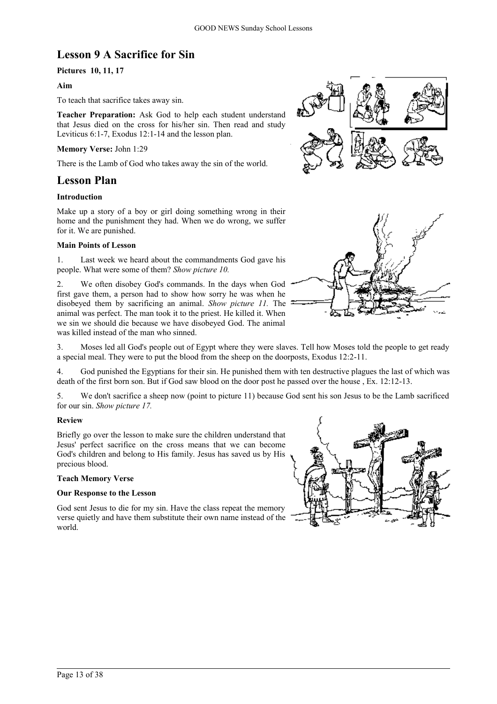# **Lesson 9 A Sacrifice for Sin**

# **Pictures 10, 11, 17**

### **Aim**

To teach that sacrifice takes away sin.

**Teacher Preparation:** Ask God to help each student understand that Jesus died on the cross for his/her sin. Then read and study Leviticus 6:1-7, Exodus 12:1-14 and the lesson plan.

### **Memory Verse:** John 1:29

There is the Lamb of God who takes away the sin of the world.

# **Lesson Plan**

# **Introduction**

Make up a story of a boy or girl doing something wrong in their home and the punishment they had. When we do wrong, we suffer for it. We are punished.

### **Main Points of Lesson**

1. Last week we heard about the commandments God gave his people. What were some of them? *Show picture 10.*

2. We often disobey God's commands. In the days when God first gave them, a person had to show how sorry he was when he disobeyed them by sacrificing an animal. *Show picture 11.* The animal was perfect. The man took it to the priest. He killed it. When we sin we should die because we have disobeyed God. The animal was killed instead of the man who sinned.





3. Moses led all God's people out of Egypt where they were slaves. Tell how Moses told the people to get ready a special meal. They were to put the blood from the sheep on the doorposts, Exodus 12:2-11.

4. God punished the Egyptians for their sin. He punished them with ten destructive plagues the last of which was death of the first born son. But if God saw blood on the door post he passed over the house , Ex. 12:12-13.

5. We don't sacrifice a sheep now (point to picture 11) because God sent his son Jesus to be the Lamb sacrificed for our sin. *Show picture 17.*

# **Review**

Briefly go over the lesson to make sure the children understand that Jesus' perfect sacrifice on the cross means that we can become God's children and belong to His family. Jesus has saved us by His precious blood.

### **Teach Memory Verse**

### **Our Response to the Lesson**

God sent Jesus to die for my sin. Have the class repeat the memory verse quietly and have them substitute their own name instead of the world.

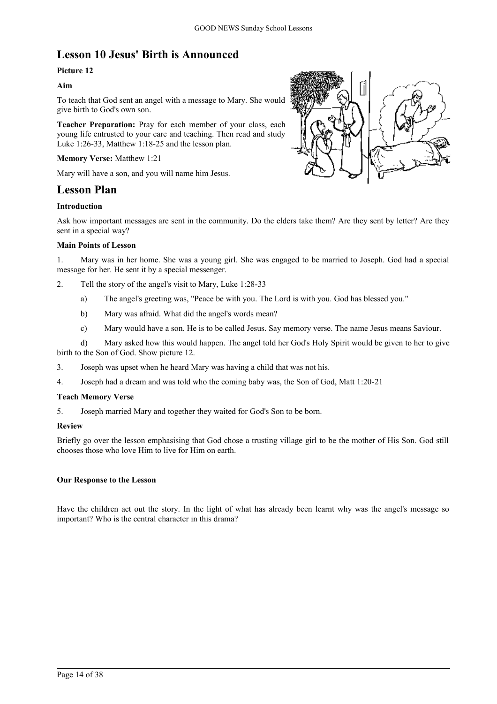# **Lesson 10 Jesus' Birth is Announced**

# **Picture 12**

# **Aim**

To teach that God sent an angel with a message to Mary. She would give birth to God's own son.

**Teacher Preparation:** Pray for each member of your class, each young life entrusted to your care and teaching. Then read and study Luke 1:26-33, Matthew 1:18-25 and the lesson plan.

# **Memory Verse:** Matthew 1:21

Mary will have a son, and you will name him Jesus.

# **Lesson Plan**

# **Introduction**



Ask how important messages are sent in the community. Do the elders take them? Are they sent by letter? Are they sent in a special way?

### **Main Points of Lesson**

1. Mary was in her home. She was a young girl. She was engaged to be married to Joseph. God had a special message for her. He sent it by a special messenger.

- 2. Tell the story of the angel's visit to Mary, Luke 1:28-33
	- a) The angel's greeting was, "Peace be with you. The Lord is with you. God has blessed you."
	- b) Mary was afraid. What did the angel's words mean?
	- c) Mary would have a son. He is to be called Jesus. Say memory verse. The name Jesus means Saviour.

d) Mary asked how this would happen. The angel told her God's Holy Spirit would be given to her to give birth to the Son of God. Show picture 12.

- 3. Joseph was upset when he heard Mary was having a child that was not his.
- 4. Joseph had a dream and was told who the coming baby was, the Son of God, Matt 1:20-21

### **Teach Memory Verse**

5. Joseph married Mary and together they waited for God's Son to be born.

### **Review**

Briefly go over the lesson emphasising that God chose a trusting village girl to be the mother of His Son. God still chooses those who love Him to live for Him on earth.

# **Our Response to the Lesson**

Have the children act out the story. In the light of what has already been learnt why was the angel's message so important? Who is the central character in this drama?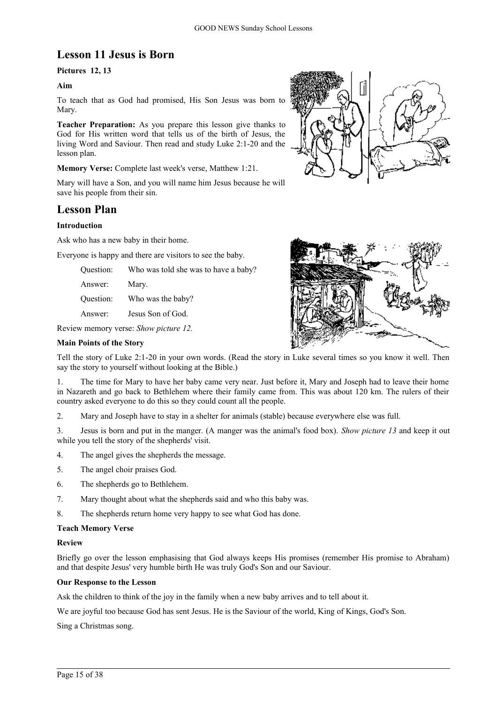# **Lesson 11 Jesus is Born**

# **Pictures 12, 13**

# **Aim**

To teach that as God had promised, His Son Jesus was born to Mary.

**Teacher Preparation:** As you prepare this lesson give thanks to God for His written word that tells us of the birth of Jesus, the living Word and Saviour. Then read and study Luke 2:1-20 and the lesson plan.

**Memory Verse:** Complete last week's verse, Matthew 1:21.

Mary will have a Son, and you will name him Jesus because he will save his people from their sin.

# **Lesson Plan**

# **Introduction**

Ask who has a new baby in their home.

Everyone is happy and there are visitors to see the baby.

| Question: |  |  |  |  |  |  |  |  | Who was told she was to have a baby? |
|-----------|--|--|--|--|--|--|--|--|--------------------------------------|
|-----------|--|--|--|--|--|--|--|--|--------------------------------------|

Answer: Mary.

Question: Who was the baby?

Answer: Jesus Son of God.

Review memory verse: *Show picture 12.*

### **Main Points of the Story**

Tell the story of Luke 2:1-20 in your own words. (Read the story in Luke several times so you know it well. Then say the story to yourself without looking at the Bible.)

1. The time for Mary to have her baby came very near. Just before it, Mary and Joseph had to leave their home in Nazareth and go back to Bethlehem where their family came from. This was about 120 km. The rulers of their country asked everyone to do this so they could count all the people.

2. Mary and Joseph have to stay in a shelter for animals (stable) because everywhere else was full.

3. Jesus is born and put in the manger. (A manger was the animal's food box). *Show picture 13* and keep it out while you tell the story of the shepherds' visit.

- 4. The angel gives the shepherds the message.
- 5. The angel choir praises God.
- 6. The shepherds go to Bethlehem.
- 7. Mary thought about what the shepherds said and who this baby was.
- 8. The shepherds return home very happy to see what God has done.

### **Teach Memory Verse**

### **Review**

Briefly go over the lesson emphasising that God always keeps His promises (remember His promise to Abraham) and that despite Jesus' very humble birth He was truly God's Son and our Saviour.

### **Our Response to the Lesson**

Ask the children to think of the joy in the family when a new baby arrives and to tell about it.

We are joyful too because God has sent Jesus. He is the Saviour of the world, King of Kings, God's Son.

Sing a Christmas song.



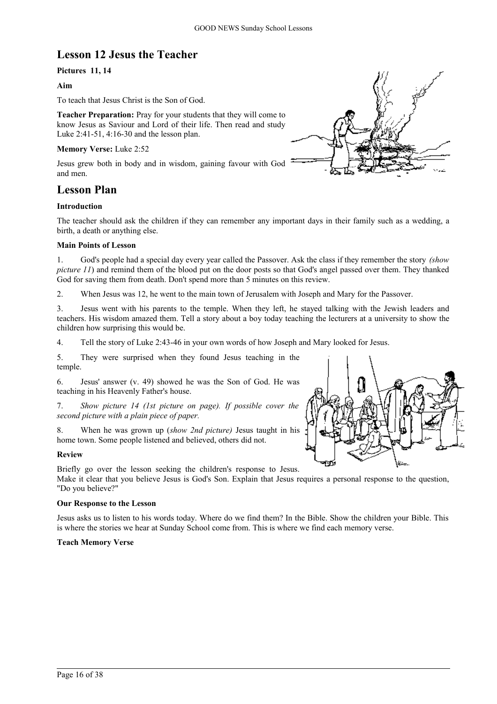# **Lesson 12 Jesus the Teacher**

# **Pictures 11, 14**

### **Aim**

To teach that Jesus Christ is the Son of God.

**Teacher Preparation:** Pray for your students that they will come to know Jesus as Saviour and Lord of their life. Then read and study Luke 2:41-51, 4:16-30 and the lesson plan.

### **Memory Verse:** Luke 2:52

Jesus grew both in body and in wisdom, gaining favour with God and men.

# **Lesson Plan**

### **Introduction**

The teacher should ask the children if they can remember any important days in their family such as a wedding, a birth, a death or anything else.

### **Main Points of Lesson**

1. God's people had a special day every year called the Passover. Ask the class if they remember the story *(show picture 11*) and remind them of the blood put on the door posts so that God's angel passed over them. They thanked God for saving them from death. Don't spend more than 5 minutes on this review.

2. When Jesus was 12, he went to the main town of Jerusalem with Joseph and Mary for the Passover.

3. Jesus went with his parents to the temple. When they left, he stayed talking with the Jewish leaders and teachers. His wisdom amazed them. Tell a story about a boy today teaching the lecturers at a university to show the children how surprising this would be.

4. Tell the story of Luke 2:43-46 in your own words of how Joseph and Mary looked for Jesus.

5. They were surprised when they found Jesus teaching in the temple.

6. Jesus' answer (v. 49) showed he was the Son of God. He was teaching in his Heavenly Father's house.

7. *Show picture 14 (1st picture on page). If possible cover the second picture with a plain piece of paper.*

8. When he was grown up (*show 2nd picture)* Jesus taught in his home town. Some people listened and believed, others did not.

### **Review**

Briefly go over the lesson seeking the children's response to Jesus.

Make it clear that you believe Jesus is God's Son. Explain that Jesus requires a personal response to the question, "Do you believe?"

### **Our Response to the Lesson**

Jesus asks us to listen to his words today. Where do we find them? In the Bible. Show the children your Bible. This is where the stories we hear at Sunday School come from. This is where we find each memory verse.

### **Teach Memory Verse**



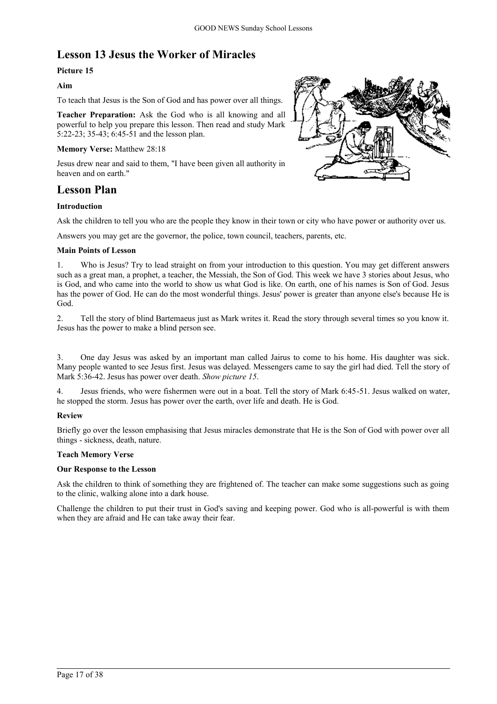# **Lesson 13 Jesus the Worker of Miracles**

# **Picture 15**

# **Aim**

To teach that Jesus is the Son of God and has power over all things.

**Teacher Preparation:** Ask the God who is all knowing and all powerful to help you prepare this lesson. Then read and study Mark 5:22-23; 35-43; 6:45-51 and the lesson plan.

# **Memory Verse:** Matthew 28:18

Jesus drew near and said to them, "I have been given all authority in heaven and on earth."

# **Lesson Plan**

# **Introduction**



Ask the children to tell you who are the people they know in their town or city who have power or authority over us.

Answers you may get are the governor, the police, town council, teachers, parents, etc.

# **Main Points of Lesson**

1. Who is Jesus? Try to lead straight on from your introduction to this question. You may get different answers such as a great man, a prophet, a teacher, the Messiah, the Son of God. This week we have 3 stories about Jesus, who is God, and who came into the world to show us what God is like. On earth, one of his names is Son of God. Jesus has the power of God. He can do the most wonderful things. Jesus' power is greater than anyone else's because He is God.

2. Tell the story of blind Bartemaeus just as Mark writes it. Read the story through several times so you know it. Jesus has the power to make a blind person see.

3. One day Jesus was asked by an important man called Jairus to come to his home. His daughter was sick. Many people wanted to see Jesus first. Jesus was delayed. Messengers came to say the girl had died. Tell the story of Mark 5:36-42. Jesus has power over death. *Show picture 15*.

4. Jesus friends, who were fishermen were out in a boat. Tell the story of Mark 6:45-51. Jesus walked on water, he stopped the storm. Jesus has power over the earth, over life and death. He is God.

# **Review**

Briefly go over the lesson emphasising that Jesus miracles demonstrate that He is the Son of God with power over all things - sickness, death, nature.

# **Teach Memory Verse**

# **Our Response to the Lesson**

Ask the children to think of something they are frightened of. The teacher can make some suggestions such as going to the clinic, walking alone into a dark house.

Challenge the children to put their trust in God's saving and keeping power. God who is all-powerful is with them when they are afraid and He can take away their fear.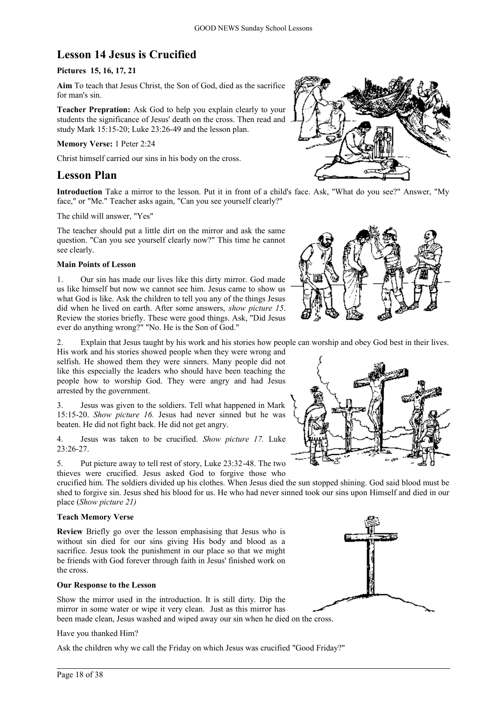# **Lesson 14 Jesus is Crucified**

# **Pictures 15, 16, 17, 21**

**Aim** To teach that Jesus Christ, the Son of God, died as the sacrifice for man's sin.

**Teacher Prepration:** Ask God to help you explain clearly to your students the significance of Jesus' death on the cross. Then read and study Mark 15:15-20; Luke 23:26-49 and the lesson plan.

### **Memory Verse:** 1 Peter 2:24

Christ himself carried our sins in his body on the cross.

# **Lesson Plan**

**Introduction** Take a mirror to the lesson. Put it in front of a child's face. Ask, "What do you see?" Answer, "My face," or "Me." Teacher asks again, "Can you see yourself clearly?"

The child will answer, "Yes"

The teacher should put a little dirt on the mirror and ask the same question. "Can you see yourself clearly now?" This time he cannot see clearly.

### **Main Points of Lesson**

1. Our sin has made our lives like this dirty mirror. God made us like himself but now we cannot see him. Jesus came to show us what God is like. Ask the children to tell you any of the things Jesus did when he lived on earth. After some answers, *show picture 15*. Review the stories briefly. These were good things. Ask, "Did Jesus ever do anything wrong?" "No. He is the Son of God."

2. Explain that Jesus taught by his work and his stories how people can worship and obey God best in their lives.

His work and his stories showed people when they were wrong and selfish. He showed them they were sinners. Many people did not like this especially the leaders who should have been teaching the people how to worship God. They were angry and had Jesus arrested by the government.

3. Jesus was given to the soldiers. Tell what happened in Mark 15:15-20. *Show picture 16.* Jesus had never sinned but he was beaten. He did not fight back. He did not get angry.

4. Jesus was taken to be crucified. *Show picture 17.* Luke  $23:26-27$ 

5. Put picture away to tell rest of story, Luke 23:32-48. The two thieves were crucified. Jesus asked God to forgive those who

crucified him. The soldiers divided up his clothes. When Jesus died the sun stopped shining. God said blood must be shed to forgive sin. Jesus shed his blood for us. He who had never sinned took our sins upon Himself and died in our place (*Show picture 21)*

# **Teach Memory Verse**

**Review** Briefly go over the lesson emphasising that Jesus who is without sin died for our sins giving His body and blood as a sacrifice. Jesus took the punishment in our place so that we might be friends with God forever through faith in Jesus' finished work on the cross.

### **Our Response to the Lesson**

Show the mirror used in the introduction. It is still dirty. Dip the mirror in some water or wipe it very clean. Just as this mirror has been made clean, Jesus washed and wiped away our sin when he died on the cross.

### Have you thanked Him?

Ask the children why we call the Friday on which Jesus was crucified "Good Friday?"







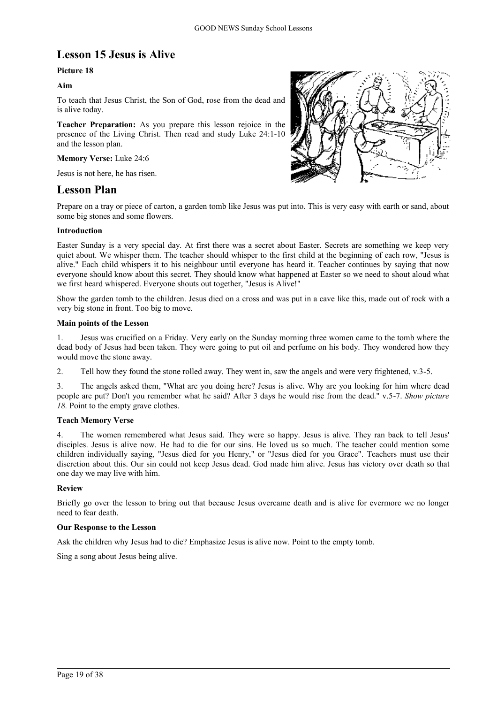# **Lesson 15 Jesus is Alive**

# **Picture 18**

# **Aim**

To teach that Jesus Christ, the Son of God, rose from the dead and is alive today.

**Teacher Preparation:** As you prepare this lesson rejoice in the presence of the Living Christ. Then read and study Luke 24:1-10 and the lesson plan.

### **Memory Verse:** Luke 24:6

Jesus is not here, he has risen.

# **Lesson Plan**



Prepare on a tray or piece of carton, a garden tomb like Jesus was put into. This is very easy with earth or sand, about some big stones and some flowers.

### **Introduction**

Easter Sunday is a very special day. At first there was a secret about Easter. Secrets are something we keep very quiet about. We whisper them. The teacher should whisper to the first child at the beginning of each row, "Jesus is alive." Each child whispers it to his neighbour until everyone has heard it. Teacher continues by saying that now everyone should know about this secret. They should know what happened at Easter so we need to shout aloud what we first heard whispered. Everyone shouts out together, "Jesus is Alive!"

Show the garden tomb to the children. Jesus died on a cross and was put in a cave like this, made out of rock with a very big stone in front. Too big to move.

### **Main points of the Lesson**

1. Jesus was crucified on a Friday. Very early on the Sunday morning three women came to the tomb where the dead body of Jesus had been taken. They were going to put oil and perfume on his body. They wondered how they would move the stone away.

2. Tell how they found the stone rolled away. They went in, saw the angels and were very frightened, v.3-5.

3. The angels asked them, "What are you doing here? Jesus is alive. Why are you looking for him where dead people are put? Don't you remember what he said? After 3 days he would rise from the dead." v.5-7. *Show picture* 18. Point to the empty grave clothes.

### **Teach Memory Verse**

4. The women remembered what Jesus said. They were so happy. Jesus is alive. They ran back to tell Jesus' disciples. Jesus is alive now. He had to die for our sins. He loved us so much. The teacher could mention some children individually saying, "Jesus died for you Henry," or "Jesus died for you Grace". Teachers must use their discretion about this. Our sin could not keep Jesus dead. God made him alive. Jesus has victory over death so that one day we may live with him.

### **Review**

Briefly go over the lesson to bring out that because Jesus overcame death and is alive for evermore we no longer need to fear death.

### **Our Response to the Lesson**

Ask the children why Jesus had to die? Emphasize Jesus is alive now. Point to the empty tomb.

Sing a song about Jesus being alive.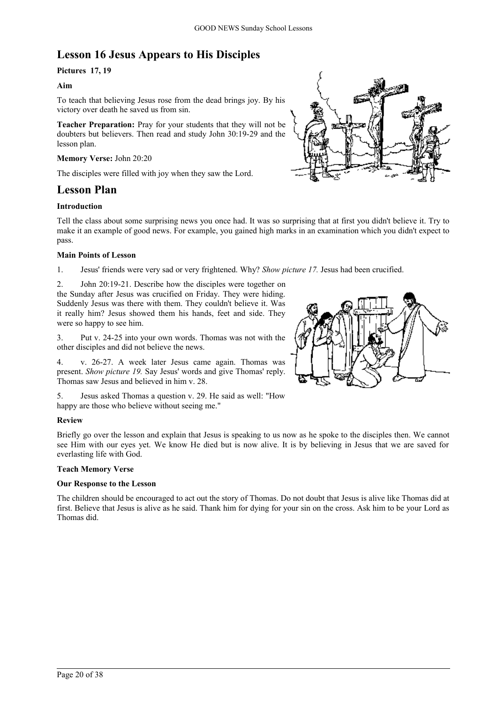# **Lesson 16 Jesus Appears to His Disciples**

# **Pictures 17, 19**

# **Aim**

To teach that believing Jesus rose from the dead brings joy. By his victory over death he saved us from sin.

**Teacher Preparation:** Pray for your students that they will not be doubters but believers. Then read and study John 30:19-29 and the lesson plan.

# **Memory Verse:** John 20:20

The disciples were filled with joy when they saw the Lord.

# **Lesson Plan**

### **Introduction**

Tell the class about some surprising news you once had. It was so surprising that at first you didn't believe it. Try to make it an example of good news. For example, you gained high marks in an examination which you didn't expect to pass.

### **Main Points of Lesson**

1. Jesus' friends were very sad or very frightened. Why? *Show picture 17.* Jesus had been crucified.

2. John 20:19-21. Describe how the disciples were together on the Sunday after Jesus was crucified on Friday. They were hiding. Suddenly Jesus was there with them. They couldn't believe it. Was it really him? Jesus showed them his hands, feet and side. They were so happy to see him.

3. Put v. 24-25 into your own words. Thomas was not with the other disciples and did not believe the news.

4. v. 26-27. A week later Jesus came again. Thomas was present. *Show picture 19.* Say Jesus' words and give Thomas' reply. Thomas saw Jesus and believed in him v. 28.

5. Jesus asked Thomas a question v. 29. He said as well: "How happy are those who believe without seeing me."

# **Review**

Briefly go over the lesson and explain that Jesus is speaking to us now as he spoke to the disciples then. We cannot see Him with our eyes yet. We know He died but is now alive. It is by believing in Jesus that we are saved for everlasting life with God.

### **Teach Memory Verse**

### **Our Response to the Lesson**

The children should be encouraged to act out the story of Thomas. Do not doubt that Jesus is alive like Thomas did at first. Believe that Jesus is alive as he said. Thank him for dying for your sin on the cross. Ask him to be your Lord as Thomas did.



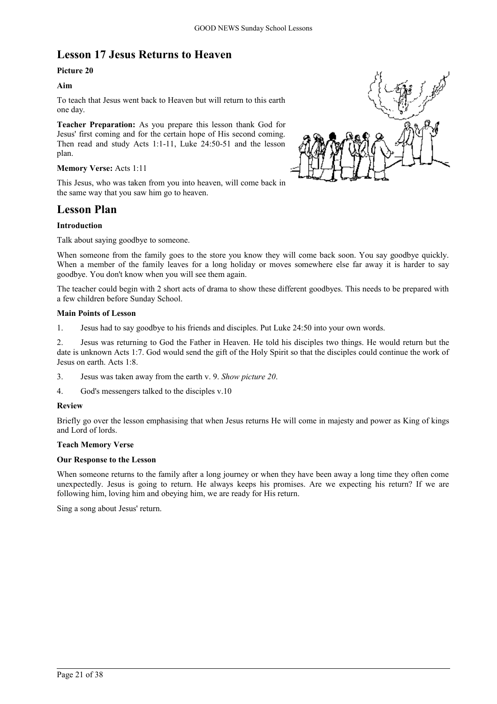# **Lesson 17 Jesus Returns to Heaven**

# **Picture 20**

# **Aim**

To teach that Jesus went back to Heaven but will return to this earth one day.

**Teacher Preparation:** As you prepare this lesson thank God for Jesus' first coming and for the certain hope of His second coming. Then read and study Acts 1:1-11, Luke 24:50-51 and the lesson plan.

### **Memory Verse:** Acts 1:11

This Jesus, who was taken from you into heaven, will come back in the same way that you saw him go to heaven.

# **Lesson Plan**

# **Introduction**

Talk about saying goodbye to someone.

When someone from the family goes to the store you know they will come back soon. You say goodbye quickly. When a member of the family leaves for a long holiday or moves somewhere else far away it is harder to say goodbye. You don't know when you will see them again.

The teacher could begin with 2 short acts of drama to show these different goodbyes. This needs to be prepared with a few children before Sunday School.

### **Main Points of Lesson**

1. Jesus had to say goodbye to his friends and disciples. Put Luke 24:50 into your own words.

2. Jesus was returning to God the Father in Heaven. He told his disciples two things. He would return but the date is unknown Acts 1:7. God would send the gift of the Holy Spirit so that the disciples could continue the work of Jesus on earth. Acts 1:8.

- 3. Jesus was taken away from the earth v. 9. *Show picture 20*.
- 4. God's messengers talked to the disciples v.10

### **Review**

Briefly go over the lesson emphasising that when Jesus returns He will come in majesty and power as King of kings and Lord of lords.

# **Teach Memory Verse**

### **Our Response to the Lesson**

When someone returns to the family after a long journey or when they have been away a long time they often come unexpectedly. Jesus is going to return. He always keeps his promises. Are we expecting his return? If we are following him, loving him and obeying him, we are ready for His return.

Sing a song about Jesus' return.

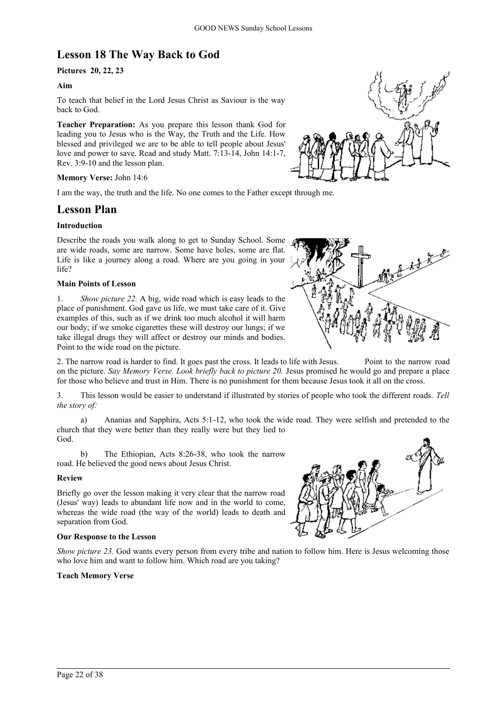# **Lesson 18 The Way Back to God**

# **Pictures 20, 22, 23**

# **Aim**

To teach that belief in the Lord Jesus Christ as Saviour is the way back to God.

**Teacher Preparation:** As you prepare this lesson thank God for leading you to Jesus who is the Way, the Truth and the Life. How blessed and privileged we are to be able to tell people about Jesus' love and power to save. Read and study Matt. 7:13-14, John 14:1-7, Rev. 3:9-10 and the lesson plan.

### **Memory Verse:** John 14:6

I am the way, the truth and the life. No one comes to the Father except through me.

# **Lesson Plan**

# **Introduction**

Describe the roads you walk along to get to Sunday School. Some are wide roads, some are narrow. Some have holes, some are flat. Life is like a journey along a road. Where are you going in your life?

### **Main Points of Lesson**



1. *Show picture 22.* A big, wide road which is easy leads to the place of punishment. God gave us life, we must take care of it. Give examples of this, such as if we drink too much alcohol it will harm our body; if we smoke cigarettes these will destroy our lungs; if we take illegal drugs they will affect or destroy our minds and bodies. Point to the wide road on the picture.

2. The narrow road is harder to find. It goes past the cross. It leads to life with Jesus. Point to the narrow road on the picture. *Say Memory Verse. Look briefly back to picture 20*. Jesus promised he would go and prepare a place for those who believe and trust in Him. There is no punishment for them because Jesus took it all on the cross.

3. This lesson would be easier to understand if illustrated by stories of people who took the different roads. *Tell the story of:*

a) Ananias and Sapphira, Acts 5:1-12, who took the wide road. They were selfish and pretended to the church that they were better than they really were but they lied to God.

b) The Ethiopian, Acts 8:26-38, who took the narrow road. He believed the good news about Jesus Christ.

### **Review**

Briefly go over the lesson making it very clear that the narrow road (Jesus' way) leads to abundant life now and in the world to come, whereas the wide road (the way of the world) leads to death and separation from God.

### **Our Response to the Lesson**

*Show picture 23.* God wants every person from every tribe and nation to follow him. Here is Jesus welcoming those who love him and want to follow him. Which road are you taking?

### **Teach Memory Verse**

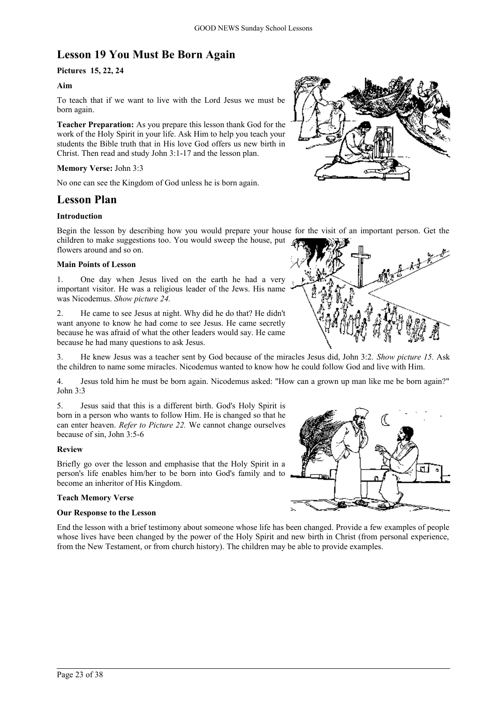# **Lesson 19 You Must Be Born Again**

# **Pictures 15, 22, 24**

# **Aim**

To teach that if we want to live with the Lord Jesus we must be born again.

**Teacher Preparation:** As you prepare this lesson thank God for the work of the Holy Spirit in your life. Ask Him to help you teach your students the Bible truth that in His love God offers us new birth in Christ. Then read and study John 3:1-17 and the lesson plan.

# **Memory Verse:** John 3:3

No one can see the Kingdom of God unless he is born again.

# **Lesson Plan**

# **Introduction**

Begin the lesson by describing how you would prepare your house for the visit of an important person. Get the children to make suggestions too. You would sweep the house, put flowers around and so on.

### **Main Points of Lesson**

1. One day when Jesus lived on the earth he had a very important visitor. He was a religious leader of the Jews. His name was Nicodemus. *Show picture 24.*

2. He came to see Jesus at night. Why did he do that? He didn't want anyone to know he had come to see Jesus. He came secretly because he was afraid of what the other leaders would say. He came because he had many questions to ask Jesus.

3. He knew Jesus was a teacher sent by God because of the miracles Jesus did, John 3:2. *Show picture 15.* Ask the children to name some miracles. Nicodemus wanted to know how he could follow God and live with Him.

4. Jesus told him he must be born again. Nicodemus asked: "How can a grown up man like me be born again?" John 3:3

5. Jesus said that this is a different birth. God's Holy Spirit is born in a person who wants to follow Him. He is changed so that he can enter heaven. *Refer to Picture 22.* We cannot change ourselves because of sin, John 3:5-6

### **Review**

Briefly go over the lesson and emphasise that the Holy Spirit in a person's life enables him/her to be born into God's family and to become an inheritor of His Kingdom.

### **Teach Memory Verse**

### **Our Response to the Lesson**

End the lesson with a brief testimony about someone whose life has been changed. Provide a few examples of people whose lives have been changed by the power of the Holy Spirit and new birth in Christ (from personal experience, from the New Testament, or from church history). The children may be able to provide examples.





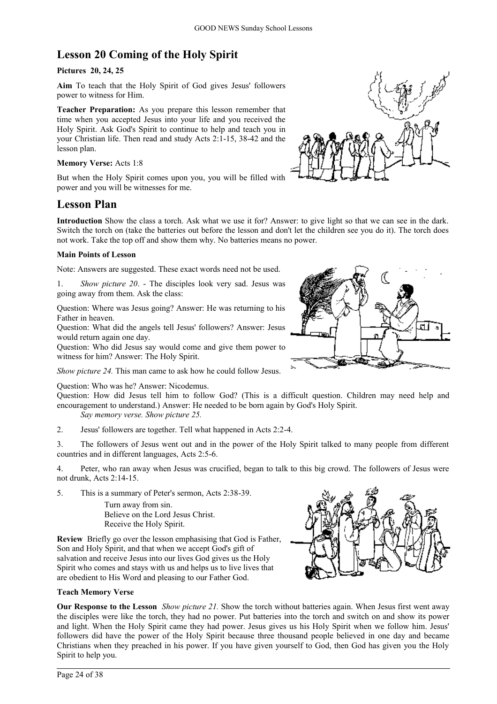# **Lesson 20 Coming of the Holy Spirit**

# **Pictures 20, 24, 25**

**Aim** To teach that the Holy Spirit of God gives Jesus' followers power to witness for Him.

**Teacher Preparation:** As you prepare this lesson remember that time when you accepted Jesus into your life and you received the Holy Spirit. Ask God's Spirit to continue to help and teach you in your Christian life. Then read and study Acts 2:1-15, 38-42 and the lesson plan.

# **Memory Verse:** Acts 1:8

But when the Holy Spirit comes upon you, you will be filled with power and you will be witnesses for me.

# **Lesson Plan**

**Introduction** Show the class a torch. Ask what we use it for? Answer: to give light so that we can see in the dark. Switch the torch on (take the batteries out before the lesson and don't let the children see you do it). The torch does not work. Take the top off and show them why. No batteries means no power.

# **Main Points of Lesson**

Note: Answers are suggested. These exact words need not be used.

1. *Show picture 20*. - The disciples look very sad. Jesus was going away from them. Ask the class:

Question: Where was Jesus going? Answer: He was returning to his Father in heaven.

Question: What did the angels tell Jesus' followers? Answer: Jesus would return again one day.

Question: Who did Jesus say would come and give them power to witness for him? Answer: The Holy Spirit.

*Show picture 24.* This man came to ask how he could follow Jesus.

Question: Who was he? Answer: Nicodemus.

Question: How did Jesus tell him to follow God? (This is a difficult question. Children may need help and encouragement to understand.) Answer: He needed to be born again by God's Holy Spirit. *Say memory verse. Show picture 25.*

2. Jesus' followers are together. Tell what happened in Acts 2:2-4.

3. The followers of Jesus went out and in the power of the Holy Spirit talked to many people from different countries and in different languages, Acts 2:5-6.

4. Peter, who ran away when Jesus was crucified, began to talk to this big crowd. The followers of Jesus were not drunk, Acts 2:14-15.

5. This is a summary of Peter's sermon, Acts 2:38-39.

Turn away from sin. Believe on the Lord Jesus Christ. Receive the Holy Spirit.

**Review** Briefly go over the lesson emphasising that God is Father, Son and Holy Spirit, and that when we accept God's gift of salvation and receive Jesus into our lives God gives us the Holy Spirit who comes and stays with us and helps us to live lives that are obedient to His Word and pleasing to our Father God.

# **Teach Memory Verse**

**Our Response to the Lesson** *Show picture 21*. Show the torch without batteries again. When Jesus first went away the disciples were like the torch, they had no power. Put batteries into the torch and switch on and show its power and light. When the Holy Spirit came they had power. Jesus gives us his Holy Spirit when we follow him. Jesus' followers did have the power of the Holy Spirit because three thousand people believed in one day and became Christians when they preached in his power. If you have given yourself to God, then God has given you the Holy Spirit to help you.



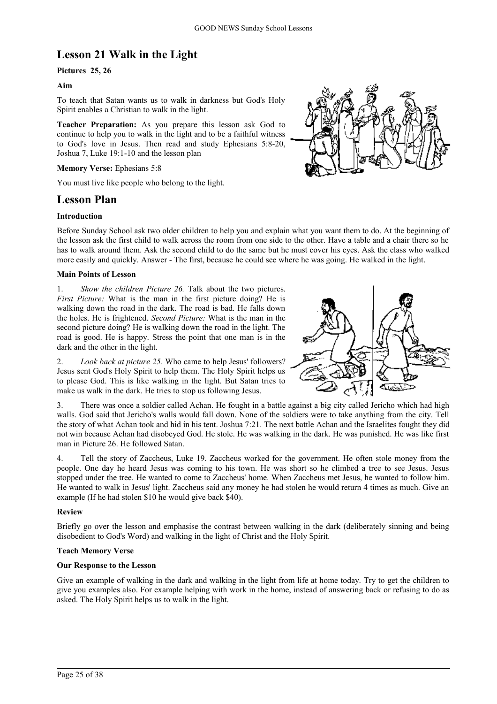# **Lesson 21 Walk in the Light**

# **Pictures 25, 26**

# **Aim**

To teach that Satan wants us to walk in darkness but God's Holy Spirit enables a Christian to walk in the light.

**Teacher Preparation:** As you prepare this lesson ask God to continue to help you to walk in the light and to be a faithful witness to God's love in Jesus. Then read and study Ephesians 5:8-20, Joshua 7, Luke 19:1-10 and the lesson plan

### **Memory Verse:** Ephesians 5:8

You must live like people who belong to the light.

# **Lesson Plan**

### **Introduction**

Before Sunday School ask two older children to help you and explain what you want them to do. At the beginning of the lesson ask the first child to walk across the room from one side to the other. Have a table and a chair there so he has to walk around them. Ask the second child to do the same but he must cover his eyes. Ask the class who walked more easily and quickly. Answer - The first, because he could see where he was going. He walked in the light.

### **Main Points of Lesson**

1. *Show the children Picture 26.* Talk about the two pictures. *First Picture:* What is the man in the first picture doing? He is walking down the road in the dark. The road is bad. He falls down the holes. He is frightened. *Second Picture:* What is the man in the second picture doing? He is walking down the road in the light. The road is good. He is happy. Stress the point that one man is in the dark and the other in the light.

2. *Look back at picture 25.* Who came to help Jesus' followers? Jesus sent God's Holy Spirit to help them. The Holy Spirit helps us to please God. This is like walking in the light. But Satan tries to make us walk in the dark. He tries to stop us following Jesus.

3. There was once a soldier called Achan. He fought in a battle against a big city called Jericho which had high walls. God said that Jericho's walls would fall down. None of the soldiers were to take anything from the city. Tell the story of what Achan took and hid in his tent. Joshua 7:21. The next battle Achan and the Israelites fought they did not win because Achan had disobeyed God. He stole. He was walking in the dark. He was punished. He was like first man in Picture 26. He followed Satan.

4. Tell the story of Zaccheus, Luke 19. Zaccheus worked for the government. He often stole money from the people. One day he heard Jesus was coming to his town. He was short so he climbed a tree to see Jesus. Jesus stopped under the tree. He wanted to come to Zaccheus' home. When Zaccheus met Jesus, he wanted to follow him. He wanted to walk in Jesus' light. Zaccheus said any money he had stolen he would return 4 times as much. Give an example (If he had stolen \$10 he would give back \$40).

### **Review**

Briefly go over the lesson and emphasise the contrast between walking in the dark (deliberately sinning and being disobedient to God's Word) and walking in the light of Christ and the Holy Spirit.

### **Teach Memory Verse**

### **Our Response to the Lesson**

Give an example of walking in the dark and walking in the light from life at home today. Try to get the children to give you examples also. For example helping with work in the home, instead of answering back or refusing to do as asked. The Holy Spirit helps us to walk in the light.



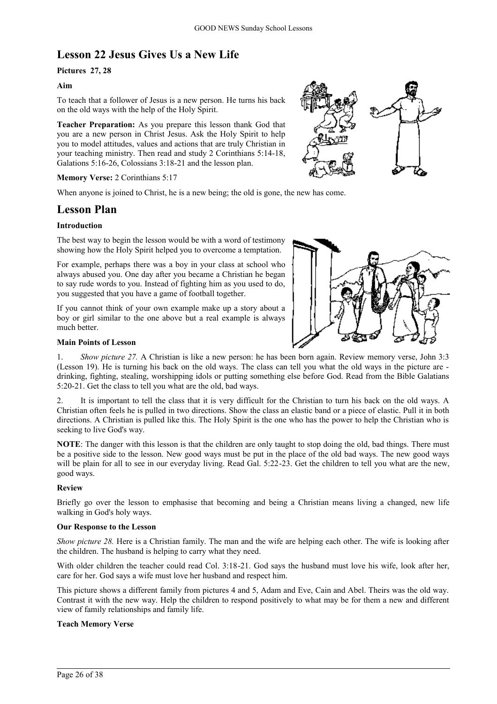# **Lesson 22 Jesus Gives Us a New Life**

# **Pictures 27, 28**

# **Aim**

To teach that a follower of Jesus is a new person. He turns his back on the old ways with the help of the Holy Spirit.

**Teacher Preparation:** As you prepare this lesson thank God that you are a new person in Christ Jesus. Ask the Holy Spirit to help you to model attitudes, values and actions that are truly Christian in your teaching ministry. Then read and study 2 Corinthians 5:14-18, Galations 5:16-26, Colossians 3:18-21 and the lesson plan.

### **Memory Verse:** 2 Corinthians 5:17

When anyone is joined to Christ, he is a new being; the old is gone, the new has come.

# **Lesson Plan**

# **Introduction**

The best way to begin the lesson would be with a word of testimony showing how the Holy Spirit helped you to overcome a temptation.

For example, perhaps there was a boy in your class at school who always abused you. One day after you became a Christian he began to say rude words to you. Instead of fighting him as you used to do, you suggested that you have a game of football together.

If you cannot think of your own example make up a story about a boy or girl similar to the one above but a real example is always much better.



### **Main Points of Lesson**

1. *Show picture 27.* A Christian is like a new person: he has been born again. Review memory verse, John 3:3 (Lesson 19). He is turning his back on the old ways. The class can tell you what the old ways in the picture are drinking, fighting, stealing, worshipping idols or putting something else before God. Read from the Bible Galatians 5:20-21. Get the class to tell you what are the old, bad ways.

2. It is important to tell the class that it is very difficult for the Christian to turn his back on the old ways. A Christian often feels he is pulled in two directions. Show the class an elastic band or a piece of elastic. Pull it in both directions. A Christian is pulled like this. The Holy Spirit is the one who has the power to help the Christian who is seeking to live God's way.

**NOTE**: The danger with this lesson is that the children are only taught to stop doing the old, bad things. There must be a positive side to the lesson. New good ways must be put in the place of the old bad ways. The new good ways will be plain for all to see in our everyday living. Read Gal. 5:22-23. Get the children to tell you what are the new, good ways.

### **Review**

Briefly go over the lesson to emphasise that becoming and being a Christian means living a changed, new life walking in God's holy ways.

### **Our Response to the Lesson**

*Show picture 28.* Here is a Christian family. The man and the wife are helping each other. The wife is looking after the children. The husband is helping to carry what they need.

With older children the teacher could read Col. 3:18-21. God says the husband must love his wife, look after her, care for her. God says a wife must love her husband and respect him.

This picture shows a different family from pictures 4 and 5, Adam and Eve, Cain and Abel. Theirs was the old way. Contrast it with the new way. Help the children to respond positively to what may be for them a new and different view of family relationships and family life.

### **Teach Memory Verse**

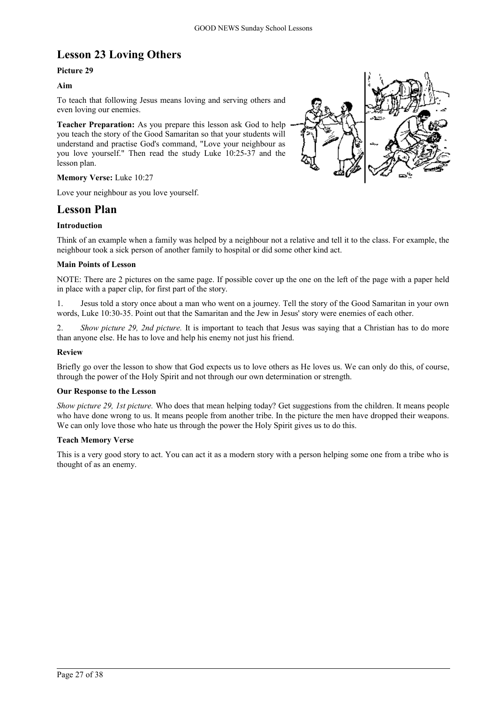# **Lesson 23 Loving Others**

# **Picture 29**

# **Aim**

To teach that following Jesus means loving and serving others and even loving our enemies.

**Teacher Preparation:** As you prepare this lesson ask God to help you teach the story of the Good Samaritan so that your students will understand and practise God's command, "Love your neighbour as you love yourself." Then read the study Luke 10:25-37 and the lesson plan.

### **Memory Verse:** Luke 10:27

Love your neighbour as you love yourself.

# **Lesson Plan**

# **Introduction**

Think of an example when a family was helped by a neighbour not a relative and tell it to the class. For example, the neighbour took a sick person of another family to hospital or did some other kind act.

### **Main Points of Lesson**

NOTE: There are 2 pictures on the same page. If possible cover up the one on the left of the page with a paper held in place with a paper clip, for first part of the story.

1. Jesus told a story once about a man who went on a journey. Tell the story of the Good Samaritan in your own words, Luke 10:30-35. Point out that the Samaritan and the Jew in Jesus' story were enemies of each other.

*Show picture 29, 2nd picture.* It is important to teach that Jesus was saying that a Christian has to do more than anyone else. He has to love and help his enemy not just his friend.

### **Review**

Briefly go over the lesson to show that God expects us to love others as He loves us. We can only do this, of course, through the power of the Holy Spirit and not through our own determination or strength.

### **Our Response to the Lesson**

*Show picture 29, 1st picture.* Who does that mean helping today? Get suggestions from the children. It means people who have done wrong to us. It means people from another tribe. In the picture the men have dropped their weapons. We can only love those who hate us through the power the Holy Spirit gives us to do this.

### **Teach Memory Verse**

This is a very good story to act. You can act it as a modern story with a person helping some one from a tribe who is thought of as an enemy.

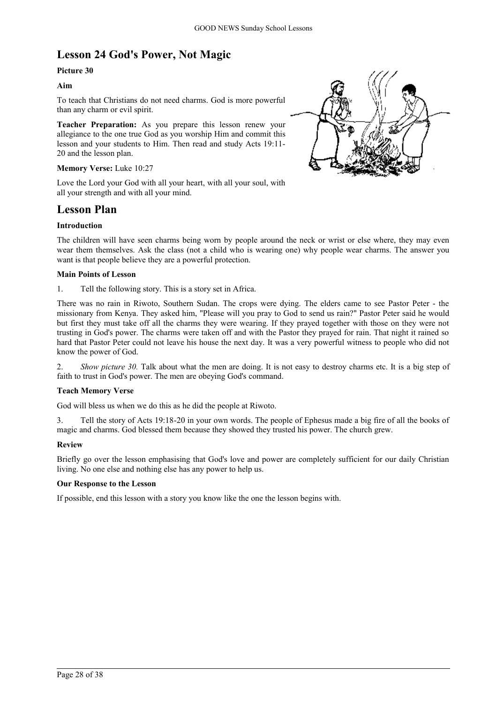# **Lesson 24 God's Power, Not Magic**

# **Picture 30**

# **Aim**

To teach that Christians do not need charms. God is more powerful than any charm or evil spirit.

**Teacher Preparation:** As you prepare this lesson renew your allegiance to the one true God as you worship Him and commit this lesson and your students to Him. Then read and study Acts 19:11- 20 and the lesson plan.

### **Memory Verse:** Luke 10:27

Love the Lord your God with all your heart, with all your soul, with all your strength and with all your mind.

# **Lesson Plan**

# **Introduction**

The children will have seen charms being worn by people around the neck or wrist or else where, they may even wear them themselves. Ask the class (not a child who is wearing one) why people wear charms. The answer you want is that people believe they are a powerful protection.

### **Main Points of Lesson**

1. Tell the following story. This is a story set in Africa.

There was no rain in Riwoto, Southern Sudan. The crops were dying. The elders came to see Pastor Peter - the missionary from Kenya. They asked him, "Please will you pray to God to send us rain?" Pastor Peter said he would but first they must take off all the charms they were wearing. If they prayed together with those on they were not trusting in God's power. The charms were taken off and with the Pastor they prayed for rain. That night it rained so hard that Pastor Peter could not leave his house the next day. It was a very powerful witness to people who did not know the power of God.

2. *Show picture 30.* Talk about what the men are doing. It is not easy to destroy charms etc. It is a big step of faith to trust in God's power. The men are obeying God's command.

# **Teach Memory Verse**

God will bless us when we do this as he did the people at Riwoto.

3. Tell the story of Acts 19:18-20 in your own words. The people of Ephesus made a big fire of all the books of magic and charms. God blessed them because they showed they trusted his power. The church grew.

# **Review**

Briefly go over the lesson emphasising that God's love and power are completely sufficient for our daily Christian living. No one else and nothing else has any power to help us.

# **Our Response to the Lesson**

If possible, end this lesson with a story you know like the one the lesson begins with.

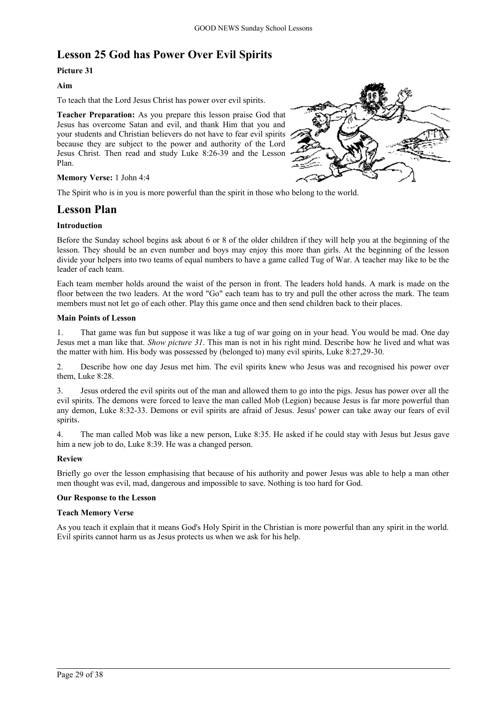# **Lesson 25 God has Power Over Evil Spirits**

# **Picture 31**

# **Aim**

To teach that the Lord Jesus Christ has power over evil spirits.

**Teacher Preparation:** As you prepare this lesson praise God that Jesus has overcome Satan and evil, and thank Him that you and your students and Christian believers do not have to fear evil spirits because they are subject to the power and authority of the Lord Jesus Christ. Then read and study Luke 8:26-39 and the Lesson Plan.



# **Memory Verse:** 1 John 4:4

The Spirit who is in you is more powerful than the spirit in those who belong to the world.

# **Lesson Plan**

# **Introduction**

Before the Sunday school begins ask about 6 or 8 of the older children if they will help you at the beginning of the lesson. They should be an even number and boys may enjoy this more than girls. At the beginning of the lesson divide your helpers into two teams of equal numbers to have a game called Tug of War. A teacher may like to be the leader of each team.

Each team member holds around the waist of the person in front. The leaders hold hands. A mark is made on the floor between the two leaders. At the word "Go" each team has to try and pull the other across the mark. The team members must not let go of each other. Play this game once and then send children back to their places.

### **Main Points of Lesson**

1. That game was fun but suppose it was like a tug of war going on in your head. You would be mad. One day Jesus met a man like that. *Show picture 31*. This man is not in his right mind. Describe how he lived and what was the matter with him. His body was possessed by (belonged to) many evil spirits, Luke 8:27,29-30.

2. Describe how one day Jesus met him. The evil spirits knew who Jesus was and recognised his power over them, Luke 8:28.

3. Jesus ordered the evil spirits out of the man and allowed them to go into the pigs. Jesus has power over all the evil spirits. The demons were forced to leave the man called Mob (Legion) because Jesus is far more powerful than any demon, Luke 8:32-33. Demons or evil spirits are afraid of Jesus. Jesus' power can take away our fears of evil spirits.

4. The man called Mob was like a new person, Luke 8:35. He asked if he could stay with Jesus but Jesus gave him a new job to do, Luke 8:39. He was a changed person.

# **Review**

Briefly go over the lesson emphasising that because of his authority and power Jesus was able to help a man other men thought was evil, mad, dangerous and impossible to save. Nothing is too hard for God.

# **Our Response to the Lesson**

### **Teach Memory Verse**

As you teach it explain that it means God's Holy Spirit in the Christian is more powerful than any spirit in the world. Evil spirits cannot harm us as Jesus protects us when we ask for his help.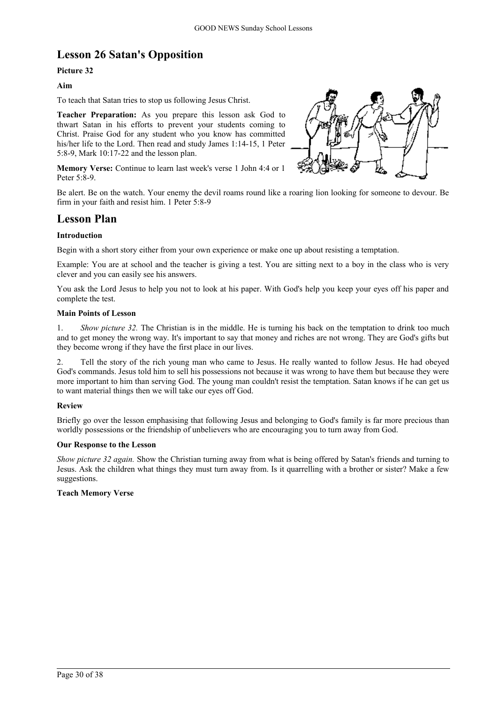# **Lesson 26 Satan's Opposition**

# **Picture 32**

### **Aim**

To teach that Satan tries to stop us following Jesus Christ.

**Teacher Preparation:** As you prepare this lesson ask God to thwart Satan in his efforts to prevent your students coming to Christ. Praise God for any student who you know has committed his/her life to the Lord. Then read and study James 1:14-15, 1 Peter 5:8-9, Mark 10:17-22 and the lesson plan.

**Memory Verse:** Continue to learn last week's verse 1 John 4:4 or 1 Peter 5:8-9.



Be alert. Be on the watch. Your enemy the devil roams round like a roaring lion looking for someone to devour. Be firm in your faith and resist him. 1 Peter 5:8-9

# **Lesson Plan**

### **Introduction**

Begin with a short story either from your own experience or make one up about resisting a temptation.

Example: You are at school and the teacher is giving a test. You are sitting next to a boy in the class who is very clever and you can easily see his answers.

You ask the Lord Jesus to help you not to look at his paper. With God's help you keep your eyes off his paper and complete the test.

### **Main Points of Lesson**

1. *Show picture 32.* The Christian is in the middle. He is turning his back on the temptation to drink too much and to get money the wrong way. It's important to say that money and riches are not wrong. They are God's gifts but they become wrong if they have the first place in our lives.

2. Tell the story of the rich young man who came to Jesus. He really wanted to follow Jesus. He had obeyed God's commands. Jesus told him to sell his possessions not because it was wrong to have them but because they were more important to him than serving God. The young man couldn't resist the temptation. Satan knows if he can get us to want material things then we will take our eyes off God.

### **Review**

Briefly go over the lesson emphasising that following Jesus and belonging to God's family is far more precious than worldly possessions or the friendship of unbelievers who are encouraging you to turn away from God.

### **Our Response to the Lesson**

*Show picture 32 again.* Show the Christian turning away from what is being offered by Satan's friends and turning to Jesus. Ask the children what things they must turn away from. Is it quarrelling with a brother or sister? Make a few suggestions.

### **Teach Memory Verse**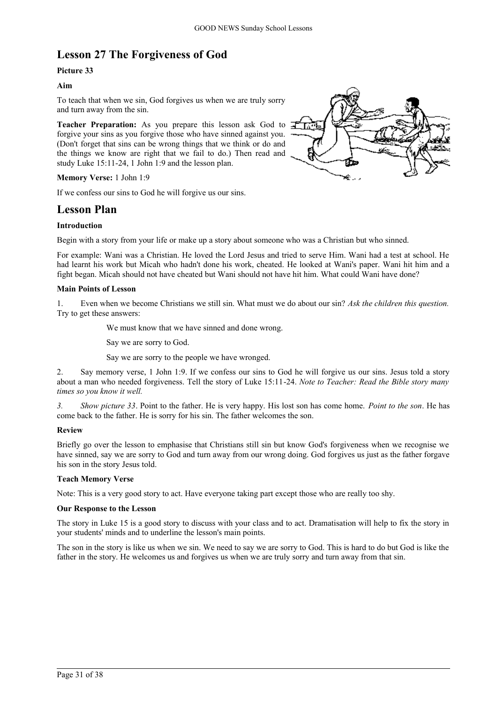# **Lesson 27 The Forgiveness of God**

# **Picture 33**

# **Aim**

To teach that when we sin, God forgives us when we are truly sorry and turn away from the sin.

Teacher Preparation: As you prepare this lesson ask God to  $\mathbf{F}$ forgive your sins as you forgive those who have sinned against you. (Don't forget that sins can be wrong things that we think or do and the things we know are right that we fail to do.) Then read and study Luke 15:11-24, 1 John 1:9 and the lesson plan.

**Memory Verse:** 1 John 1:9

If we confess our sins to God he will forgive us our sins.

# **Lesson Plan**

# **Introduction**

Begin with a story from your life or make up a story about someone who was a Christian but who sinned.

For example: Wani was a Christian. He loved the Lord Jesus and tried to serve Him. Wani had a test at school. He had learnt his work but Micah who hadn't done his work, cheated. He looked at Wani's paper. Wani hit him and a fight began. Micah should not have cheated but Wani should not have hit him. What could Wani have done?

### **Main Points of Lesson**

1. Even when we become Christians we still sin. What must we do about our sin? *Ask the children this question.* Try to get these answers:

We must know that we have sinned and done wrong.

Say we are sorry to God.

Say we are sorry to the people we have wronged.

2. Say memory verse, 1 John 1:9. If we confess our sins to God he will forgive us our sins. Jesus told a story about a man who needed forgiveness. Tell the story of Luke 15:11-24. *Note to Teacher: Read the Bible story many times so you know it well.*

*3. Show picture 33*. Point to the father. He is very happy. His lost son has come home. *Point to the son*. He has come back to the father. He is sorry for his sin. The father welcomes the son.

# **Review**

Briefly go over the lesson to emphasise that Christians still sin but know God's forgiveness when we recognise we have sinned, say we are sorry to God and turn away from our wrong doing. God forgives us just as the father forgave his son in the story Jesus told.

### **Teach Memory Verse**

Note: This is a very good story to act. Have everyone taking part except those who are really too shy.

### **Our Response to the Lesson**

The story in Luke 15 is a good story to discuss with your class and to act. Dramatisation will help to fix the story in your students' minds and to underline the lesson's main points.

The son in the story is like us when we sin. We need to say we are sorry to God. This is hard to do but God is like the father in the story. He welcomes us and forgives us when we are truly sorry and turn away from that sin.

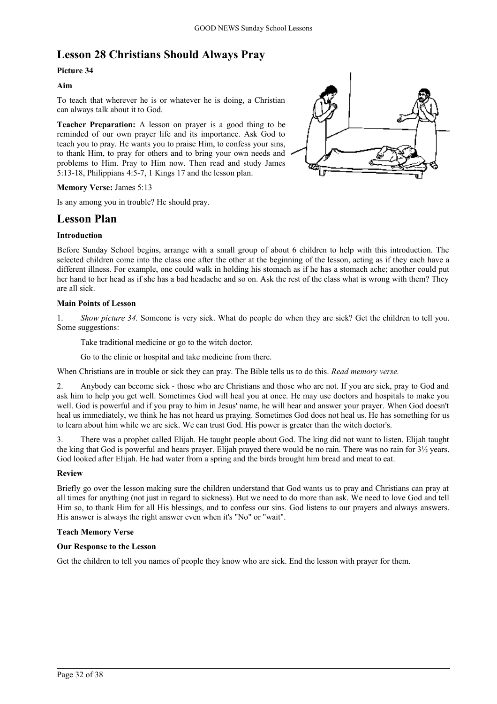# **Lesson 28 Christians Should Always Pray**

# **Picture 34**

# **Aim**

To teach that wherever he is or whatever he is doing, a Christian can always talk about it to God.

**Teacher Preparation:** A lesson on prayer is a good thing to be reminded of our own prayer life and its importance. Ask God to teach you to pray. He wants you to praise Him, to confess your sins, to thank Him, to pray for others and to bring your own needs and problems to Him. Pray to Him now. Then read and study James 5:13-18, Philippians 4:5-7, 1 Kings 17 and the lesson plan.



### **Memory Verse:** James 5:13

Is any among you in trouble? He should pray.

# **Lesson Plan**

### **Introduction**

Before Sunday School begins, arrange with a small group of about 6 children to help with this introduction. The selected children come into the class one after the other at the beginning of the lesson, acting as if they each have a different illness. For example, one could walk in holding his stomach as if he has a stomach ache; another could put her hand to her head as if she has a bad headache and so on. Ask the rest of the class what is wrong with them? They are all sick.

### **Main Points of Lesson**

1. *Show picture 34.* Someone is very sick. What do people do when they are sick? Get the children to tell you. Some suggestions:

Take traditional medicine or go to the witch doctor.

Go to the clinic or hospital and take medicine from there.

When Christians are in trouble or sick they can pray. The Bible tells us to do this. *Read memory verse.*

2. Anybody can become sick - those who are Christians and those who are not. If you are sick, pray to God and ask him to help you get well. Sometimes God will heal you at once. He may use doctors and hospitals to make you well. God is powerful and if you pray to him in Jesus' name, he will hear and answer your prayer. When God doesn't heal us immediately, we think he has not heard us praying. Sometimes God does not heal us. He has something for us to learn about him while we are sick. We can trust God. His power is greater than the witch doctor's.

3. There was a prophet called Elijah. He taught people about God. The king did not want to listen. Elijah taught the king that God is powerful and hears prayer. Elijah prayed there would be no rain. There was no rain for  $3\frac{1}{2}$  years. God looked after Elijah. He had water from a spring and the birds brought him bread and meat to eat.

# **Review**

Briefly go over the lesson making sure the children understand that God wants us to pray and Christians can pray at all times for anything (not just in regard to sickness). But we need to do more than ask. We need to love God and tell Him so, to thank Him for all His blessings, and to confess our sins. God listens to our prayers and always answers. His answer is always the right answer even when it's "No" or "wait".

### **Teach Memory Verse**

### **Our Response to the Lesson**

Get the children to tell you names of people they know who are sick. End the lesson with prayer for them.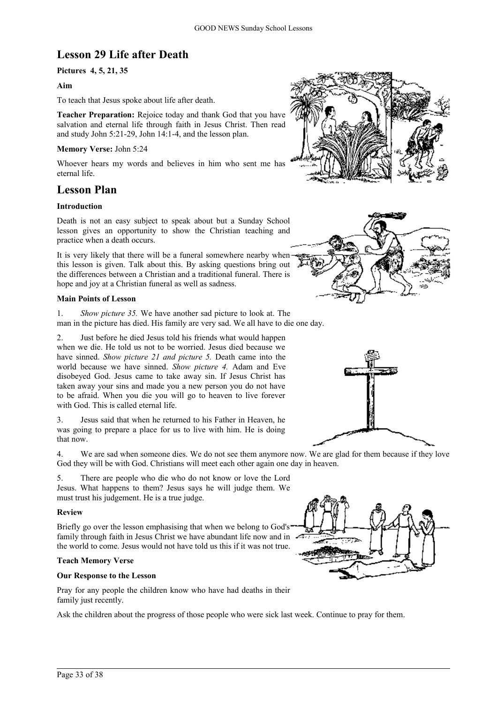# **Lesson 29 Life after Death**

# **Pictures 4, 5, 21, 35**

### **Aim**

To teach that Jesus spoke about life after death.

**Teacher Preparation:** Rejoice today and thank God that you have salvation and eternal life through faith in Jesus Christ. Then read and study John 5:21-29, John 14:1-4, and the lesson plan.

### **Memory Verse:** John 5:24

Whoever hears my words and believes in him who sent me has eternal life.

# **Lesson Plan**

### **Introduction**

Death is not an easy subject to speak about but a Sunday School lesson gives an opportunity to show the Christian teaching and practice when a death occurs.

It is very likely that there will be a funeral somewhere nearby when this lesson is given. Talk about this. By asking questions bring out the differences between a Christian and a traditional funeral. There is hope and joy at a Christian funeral as well as sadness.

### **Main Points of Lesson**

1. *Show picture 35.* We have another sad picture to look at. The man in the picture has died. His family are very sad. We all have to die one day.

2. Just before he died Jesus told his friends what would happen when we die. He told us not to be worried. Jesus died because we have sinned. *Show picture 21 and picture 5.* Death came into the world because we have sinned. *Show picture 4.* Adam and Eve disobeyed God. Jesus came to take away sin. If Jesus Christ has taken away your sins and made you a new person you do not have to be afraid. When you die you will go to heaven to live forever with God. This is called eternal life.

3. Jesus said that when he returned to his Father in Heaven, he was going to prepare a place for us to live with him. He is doing that now.

4. We are sad when someone dies. We do not see them anymore now. We are glad for them because if they love God they will be with God. Christians will meet each other again one day in heaven.

5. There are people who die who do not know or love the Lord Jesus. What happens to them? Jesus says he will judge them. We must trust his judgement. He is a true judge.

### **Review**

Briefly go over the lesson emphasising that when we belong to God's family through faith in Jesus Christ we have abundant life now and in the world to come. Jesus would not have told us this if it was not true.

### **Teach Memory Verse**

### **Our Response to the Lesson**

Pray for any people the children know who have had deaths in their family just recently.

Ask the children about the progress of those people who were sick last week. Continue to pray for them.







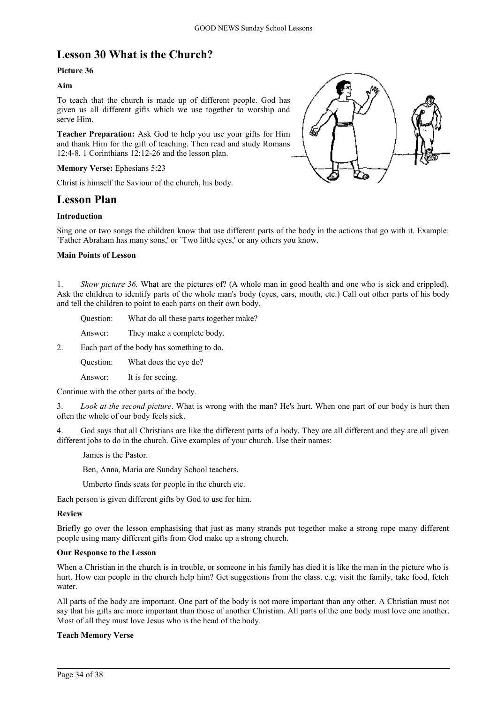# **Lesson 30 What is the Church?**

# **Picture 36**

# **Aim**

To teach that the church is made up of different people. God has given us all different gifts which we use together to worship and serve Him.

**Teacher Preparation:** Ask God to help you use your gifts for Him and thank Him for the gift of teaching. Then read and study Romans 12:4-8, 1 Corinthians 12:12-26 and the lesson plan.

# **Memory Verse:** Ephesians 5:23

Christ is himself the Saviour of the church, his body.

# **Lesson Plan**

# **Introduction**



Sing one or two songs the children know that use different parts of the body in the actions that go with it. Example: `Father Abraham has many sons,' or `Two little eyes,' or any others you know.

### **Main Points of Lesson**

1. *Show picture 36.* What are the pictures of? (A whole man in good health and one who is sick and crippled). Ask the children to identify parts of the whole man's body (eyes, ears, mouth, etc.) Call out other parts of his body and tell the children to point to each parts on their own body.

Question: What do all these parts together make?

Answer: They make a complete body.

2. Each part of the body has something to do.

Question: What does the eye do?

Answer: It is for seeing.

Continue with the other parts of the body.

3. *Look at the second picture*. What is wrong with the man? He's hurt. When one part of our body is hurt then often the whole of our body feels sick.

4. God says that all Christians are like the different parts of a body. They are all different and they are all given different jobs to do in the church. Give examples of your church. Use their names:

James is the Pastor.

Ben, Anna, Maria are Sunday School teachers.

Umberto finds seats for people in the church etc.

Each person is given different gifts by God to use for him.

### **Review**

Briefly go over the lesson emphasising that just as many strands put together make a strong rope many different people using many different gifts from God make up a strong church.

### **Our Response to the Lesson**

When a Christian in the church is in trouble, or someone in his family has died it is like the man in the picture who is hurt. How can people in the church help him? Get suggestions from the class. e.g. visit the family, take food, fetch water.

All parts of the body are important. One part of the body is not more important than any other. A Christian must not say that his gifts are more important than those of another Christian. All parts of the one body must love one another. Most of all they must love Jesus who is the head of the body.

# **Teach Memory Verse**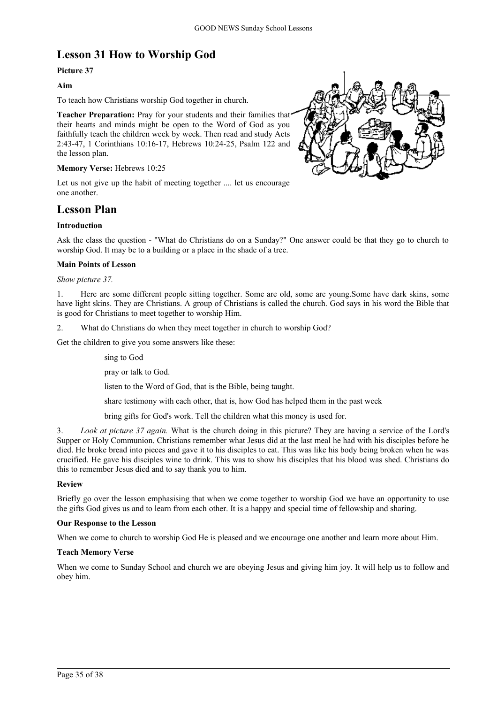# **Lesson 31 How to Worship God**

# **Picture 37**

# **Aim**

To teach how Christians worship God together in church.

**Teacher Preparation:** Pray for your students and their families that their hearts and minds might be open to the Word of God as you faithfully teach the children week by week. Then read and study Acts 2:43-47, 1 Corinthians 10:16-17, Hebrews 10:24-25, Psalm 122 and the lesson plan.

# **Memory Verse:** Hebrews 10:25

Let us not give up the habit of meeting together .... let us encourage one another.

# **Lesson Plan**

### **Introduction**

Ask the class the question - "What do Christians do on a Sunday?" One answer could be that they go to church to worship God. It may be to a building or a place in the shade of a tree.

# **Main Points of Lesson**

### *Show picture 37.*

1. Here are some different people sitting together. Some are old, some are young.Some have dark skins, some have light skins. They are Christians. A group of Christians is called the church. God says in his word the Bible that is good for Christians to meet together to worship Him.

2. What do Christians do when they meet together in church to worship God?

Get the children to give you some answers like these:

sing to God

pray or talk to God.

listen to the Word of God, that is the Bible, being taught.

share testimony with each other, that is, how God has helped them in the past week

bring gifts for God's work. Tell the children what this money is used for.

3. *Look at picture 37 again.* What is the church doing in this picture? They are having a service of the Lord's Supper or Holy Communion. Christians remember what Jesus did at the last meal he had with his disciples before he died. He broke bread into pieces and gave it to his disciples to eat. This was like his body being broken when he was crucified. He gave his disciples wine to drink. This was to show his disciples that his blood was shed. Christians do this to remember Jesus died and to say thank you to him.

### **Review**

Briefly go over the lesson emphasising that when we come together to worship God we have an opportunity to use the gifts God gives us and to learn from each other. It is a happy and special time of fellowship and sharing.

### **Our Response to the Lesson**

When we come to church to worship God He is pleased and we encourage one another and learn more about Him.

### **Teach Memory Verse**

When we come to Sunday School and church we are obeying Jesus and giving him joy. It will help us to follow and obey him.

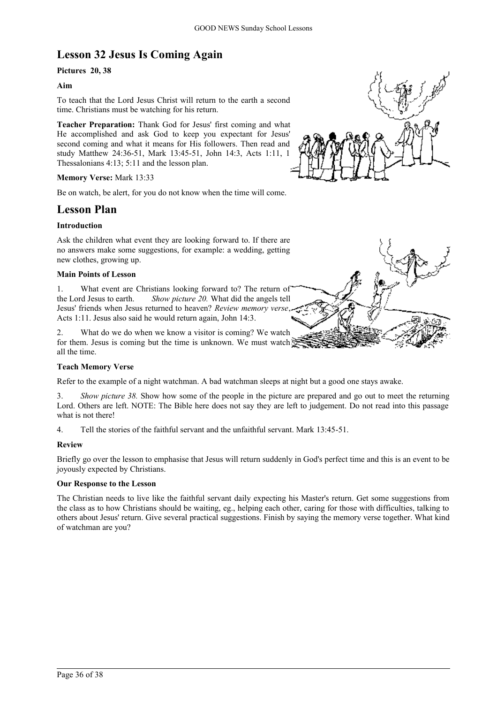# **Lesson 32 Jesus Is Coming Again**

# **Pictures 20, 38**

# **Aim**

To teach that the Lord Jesus Christ will return to the earth a second time. Christians must be watching for his return.

**Teacher Preparation:** Thank God for Jesus' first coming and what He accomplished and ask God to keep you expectant for Jesus' second coming and what it means for His followers. Then read and study Matthew 24:36-51, Mark 13:45-51, John 14:3, Acts 1:11, 1 Thessalonians 4:13; 5:11 and the lesson plan.

# **Memory Verse:** Mark 13:33

Be on watch, be alert, for you do not know when the time will come.

# **Lesson Plan**

# **Introduction**

Ask the children what event they are looking forward to. If there are no answers make some suggestions, for example: a wedding, getting new clothes, growing up.

### **Main Points of Lesson**

1. What event are Christians looking forward to? The return of the Lord Jesus to earth. *Show picture 20.* What did the angels tell Jesus' friends when Jesus returned to heaven? *Review memory verse*, Acts 1:11. Jesus also said he would return again, John 14:3.

What do we do when we know a visitor is coming? We watch for them. Jesus is coming but the time is unknown. We must watch all the time.

### **Teach Memory Verse**

Refer to the example of a night watchman. A bad watchman sleeps at night but a good one stays awake.

3. *Show picture 38.* Show how some of the people in the picture are prepared and go out to meet the returning Lord. Others are left. NOTE: The Bible here does not say they are left to judgement. Do not read into this passage what is not there!

4. Tell the stories of the faithful servant and the unfaithful servant. Mark 13:45-51.

### **Review**

Briefly go over the lesson to emphasise that Jesus will return suddenly in God's perfect time and this is an event to be joyously expected by Christians.

# **Our Response to the Lesson**

The Christian needs to live like the faithful servant daily expecting his Master's return. Get some suggestions from the class as to how Christians should be waiting, eg., helping each other, caring for those with difficulties, talking to others about Jesus' return. Give several practical suggestions. Finish by saying the memory verse together. What kind of watchman are you?



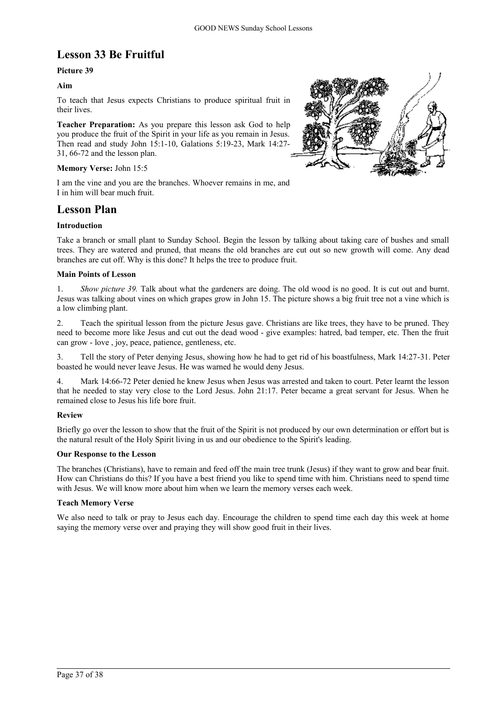# **Lesson 33 Be Fruitful**

# **Picture 39**

# **Aim**

To teach that Jesus expects Christians to produce spiritual fruit in their lives.

**Teacher Preparation:** As you prepare this lesson ask God to help you produce the fruit of the Spirit in your life as you remain in Jesus. Then read and study John 15:1-10, Galations 5:19-23, Mark 14:27- 31, 66-72 and the lesson plan.

### **Memory Verse:** John 15:5

I am the vine and you are the branches. Whoever remains in me, and I in him will bear much fruit.

# **Lesson Plan**

# **Introduction**

Take a branch or small plant to Sunday School. Begin the lesson by talking about taking care of bushes and small trees. They are watered and pruned, that means the old branches are cut out so new growth will come. Any dead branches are cut off. Why is this done? It helps the tree to produce fruit.

### **Main Points of Lesson**

1. *Show picture 39.* Talk about what the gardeners are doing. The old wood is no good. It is cut out and burnt. Jesus was talking about vines on which grapes grow in John 15. The picture shows a big fruit tree not a vine which is a low climbing plant.

2. Teach the spiritual lesson from the picture Jesus gave. Christians are like trees, they have to be pruned. They need to become more like Jesus and cut out the dead wood - give examples: hatred, bad temper, etc. Then the fruit can grow - love , joy, peace, patience, gentleness, etc.

3. Tell the story of Peter denying Jesus, showing how he had to get rid of his boastfulness, Mark 14:27-31. Peter boasted he would never leave Jesus. He was warned he would deny Jesus.

4. Mark 14:66-72 Peter denied he knew Jesus when Jesus was arrested and taken to court. Peter learnt the lesson that he needed to stay very close to the Lord Jesus. John 21:17. Peter became a great servant for Jesus. When he remained close to Jesus his life bore fruit.

# **Review**

Briefly go over the lesson to show that the fruit of the Spirit is not produced by our own determination or effort but is the natural result of the Holy Spirit living in us and our obedience to the Spirit's leading.

### **Our Response to the Lesson**

The branches (Christians), have to remain and feed off the main tree trunk (Jesus) if they want to grow and bear fruit. How can Christians do this? If you have a best friend you like to spend time with him. Christians need to spend time with Jesus. We will know more about him when we learn the memory verses each week.

### **Teach Memory Verse**

We also need to talk or pray to Jesus each day. Encourage the children to spend time each day this week at home saying the memory verse over and praying they will show good fruit in their lives.